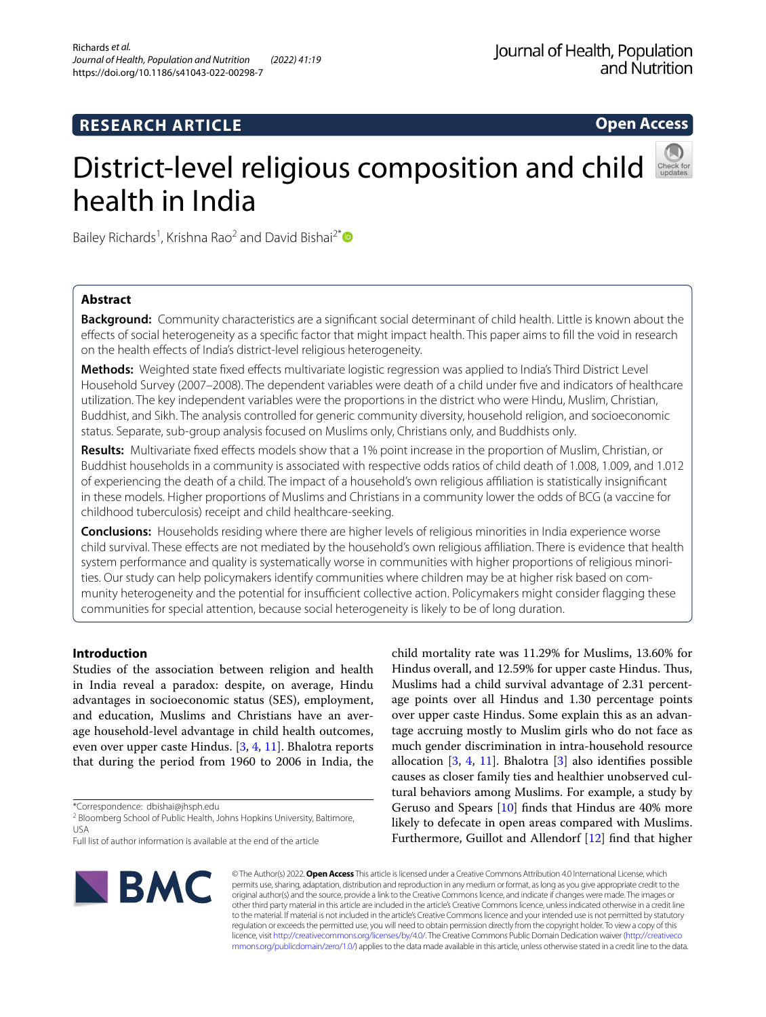# **RESEARCH ARTICLE**

**Open Access**

# District-level religious composition and child health in India

Bailey Richards<sup>1</sup>, Krishna Rao<sup>2</sup> and David Bishai<sup>2\*</sup><sup>®</sup>

# **Abstract**

**Background:** Community characteristics are a signifcant social determinant of child health. Little is known about the efects of social heterogeneity as a specifc factor that might impact health. This paper aims to fll the void in research on the health efects of India's district-level religious heterogeneity.

**Methods:** Weighted state fxed efects multivariate logistic regression was applied to India's Third District Level Household Survey (2007–2008). The dependent variables were death of a child under fve and indicators of healthcare utilization. The key independent variables were the proportions in the district who were Hindu, Muslim, Christian, Buddhist, and Sikh. The analysis controlled for generic community diversity, household religion, and socioeconomic status. Separate, sub-group analysis focused on Muslims only, Christians only, and Buddhists only.

**Results:** Multivariate fxed efects models show that a 1% point increase in the proportion of Muslim, Christian, or Buddhist households in a community is associated with respective odds ratios of child death of 1.008, 1.009, and 1.012 of experiencing the death of a child. The impact of a household's own religious afliation is statistically insignifcant in these models. Higher proportions of Muslims and Christians in a community lower the odds of BCG (a vaccine for childhood tuberculosis) receipt and child healthcare-seeking.

**Conclusions:** Households residing where there are higher levels of religious minorities in India experience worse child survival. These efects are not mediated by the household's own religious afliation. There is evidence that health system performance and quality is systematically worse in communities with higher proportions of religious minorities. Our study can help policymakers identify communities where children may be at higher risk based on community heterogeneity and the potential for insufficient collective action. Policymakers might consider flagging these communities for special attention, because social heterogeneity is likely to be of long duration.

# **Introduction**

Studies of the association between religion and health in India reveal a paradox: despite, on average, Hindu advantages in socioeconomic status (SES), employment, and education, Muslims and Christians have an average household-level advantage in child health outcomes, even over upper caste Hindus. [\[3](#page-14-0), [4,](#page-14-1) [11](#page-14-2)]. Bhalotra reports that during the period from 1960 to 2006 in India, the

\*Correspondence: dbishai@jhsph.edu

Full list of author information is available at the end of the article



child mortality rate was 11.29% for Muslims, 13.60% for Hindus overall, and 12.59% for upper caste Hindus. Thus, Muslims had a child survival advantage of 2.31 percentage points over all Hindus and 1.30 percentage points over upper caste Hindus. Some explain this as an advantage accruing mostly to Muslim girls who do not face as much gender discrimination in intra-household resource allocation  $[3, 4, 11]$  $[3, 4, 11]$  $[3, 4, 11]$  $[3, 4, 11]$  $[3, 4, 11]$  $[3, 4, 11]$ . Bhalotra  $[3]$  $[3]$  also identifies possible causes as closer family ties and healthier unobserved cultural behaviors among Muslims. For example, a study by Geruso and Spears [[10](#page-14-3)] fnds that Hindus are 40% more likely to defecate in open areas compared with Muslims. Furthermore, Guillot and Allendorf [[12\]](#page-14-4) fnd that higher

© The Author(s) 2022. **Open Access** This article is licensed under a Creative Commons Attribution 4.0 International License, which permits use, sharing, adaptation, distribution and reproduction in any medium or format, as long as you give appropriate credit to the original author(s) and the source, provide a link to the Creative Commons licence, and indicate if changes were made. The images or other third party material in this article are included in the article's Creative Commons licence, unless indicated otherwise in a credit line to the material. If material is not included in the article's Creative Commons licence and your intended use is not permitted by statutory regulation or exceeds the permitted use, you will need to obtain permission directly from the copyright holder. To view a copy of this licence, visit [http://creativecommons.org/licenses/by/4.0/.](http://creativecommons.org/licenses/by/4.0/) The Creative Commons Public Domain Dedication waiver ([http://creativeco](http://creativecommons.org/publicdomain/zero/1.0/) [mmons.org/publicdomain/zero/1.0/](http://creativecommons.org/publicdomain/zero/1.0/)) applies to the data made available in this article, unless otherwise stated in a credit line to the data.

<sup>&</sup>lt;sup>2</sup> Bloomberg School of Public Health, Johns Hopkins University, Baltimore, USA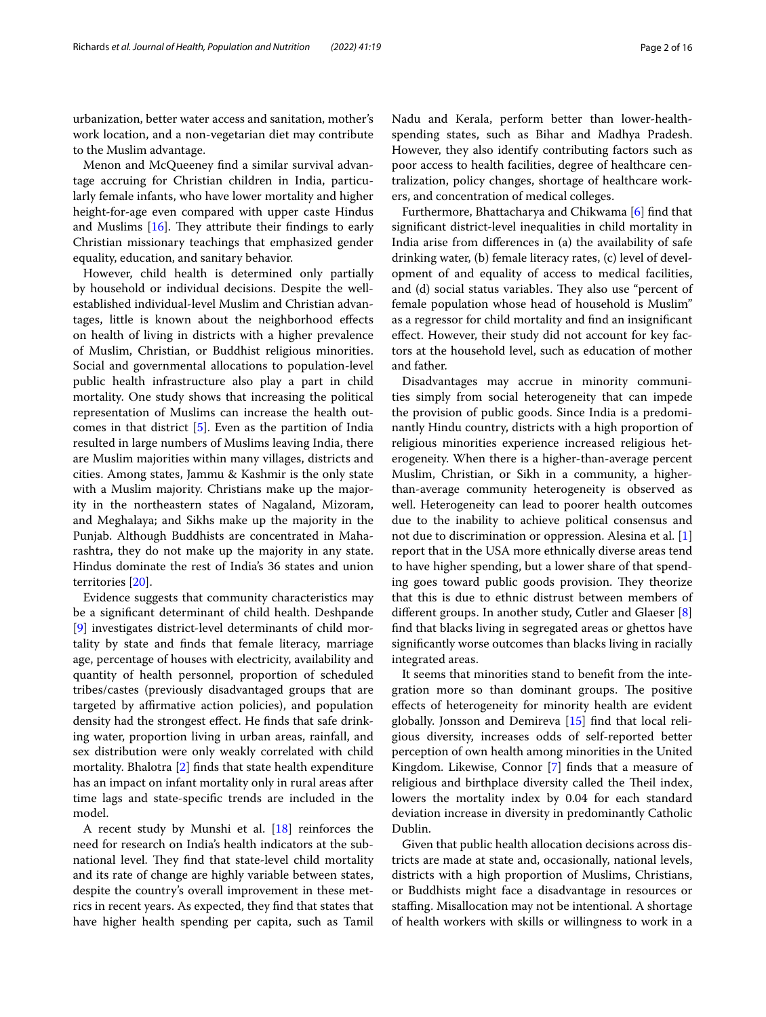urbanization, better water access and sanitation, mother's work location, and a non-vegetarian diet may contribute to the Muslim advantage.

Menon and McQueeney fnd a similar survival advantage accruing for Christian children in India, particularly female infants, who have lower mortality and higher height-for-age even compared with upper caste Hindus and Muslims  $[16]$  $[16]$ . They attribute their findings to early Christian missionary teachings that emphasized gender equality, education, and sanitary behavior.

However, child health is determined only partially by household or individual decisions. Despite the wellestablished individual-level Muslim and Christian advantages, little is known about the neighborhood efects on health of living in districts with a higher prevalence of Muslim, Christian, or Buddhist religious minorities. Social and governmental allocations to population-level public health infrastructure also play a part in child mortality. One study shows that increasing the political representation of Muslims can increase the health outcomes in that district [\[5](#page-14-5)]. Even as the partition of India resulted in large numbers of Muslims leaving India, there are Muslim majorities within many villages, districts and cities. Among states, Jammu & Kashmir is the only state with a Muslim majority. Christians make up the majority in the northeastern states of Nagaland, Mizoram, and Meghalaya; and Sikhs make up the majority in the Punjab. Although Buddhists are concentrated in Maharashtra, they do not make up the majority in any state. Hindus dominate the rest of India's 36 states and union territories [\[20](#page-15-1)].

Evidence suggests that community characteristics may be a signifcant determinant of child health. Deshpande [[9\]](#page-14-6) investigates district-level determinants of child mortality by state and fnds that female literacy, marriage age, percentage of houses with electricity, availability and quantity of health personnel, proportion of scheduled tribes/castes (previously disadvantaged groups that are targeted by affirmative action policies), and population density had the strongest effect. He finds that safe drinking water, proportion living in urban areas, rainfall, and sex distribution were only weakly correlated with child mortality. Bhalotra [[2\]](#page-14-7) fnds that state health expenditure has an impact on infant mortality only in rural areas after time lags and state-specifc trends are included in the model.

A recent study by Munshi et al. [\[18](#page-15-2)] reinforces the need for research on India's health indicators at the subnational level. They find that state-level child mortality and its rate of change are highly variable between states, despite the country's overall improvement in these metrics in recent years. As expected, they fnd that states that have higher health spending per capita, such as Tamil Nadu and Kerala, perform better than lower-healthspending states, such as Bihar and Madhya Pradesh. However, they also identify contributing factors such as poor access to health facilities, degree of healthcare centralization, policy changes, shortage of healthcare workers, and concentration of medical colleges.

Furthermore, Bhattacharya and Chikwama [\[6](#page-14-8)] fnd that signifcant district-level inequalities in child mortality in India arise from diferences in (a) the availability of safe drinking water, (b) female literacy rates, (c) level of development of and equality of access to medical facilities, and (d) social status variables. They also use "percent of female population whose head of household is Muslim" as a regressor for child mortality and fnd an insignifcant efect. However, their study did not account for key factors at the household level, such as education of mother and father.

Disadvantages may accrue in minority communities simply from social heterogeneity that can impede the provision of public goods. Since India is a predominantly Hindu country, districts with a high proportion of religious minorities experience increased religious heterogeneity. When there is a higher-than-average percent Muslim, Christian, or Sikh in a community, a higherthan-average community heterogeneity is observed as well. Heterogeneity can lead to poorer health outcomes due to the inability to achieve political consensus and not due to discrimination or oppression. Alesina et al. [\[1](#page-14-9)] report that in the USA more ethnically diverse areas tend to have higher spending, but a lower share of that spending goes toward public goods provision. They theorize that this is due to ethnic distrust between members of diferent groups. In another study, Cutler and Glaeser [\[8](#page-14-10)] fnd that blacks living in segregated areas or ghettos have signifcantly worse outcomes than blacks living in racially integrated areas.

It seems that minorities stand to beneft from the integration more so than dominant groups. The positive efects of heterogeneity for minority health are evident globally. Jonsson and Demireva [[15\]](#page-15-3) fnd that local religious diversity, increases odds of self-reported better perception of own health among minorities in the United Kingdom. Likewise, Connor [[7\]](#page-14-11) fnds that a measure of religious and birthplace diversity called the Theil index, lowers the mortality index by 0.04 for each standard deviation increase in diversity in predominantly Catholic Dublin.

Given that public health allocation decisions across districts are made at state and, occasionally, national levels, districts with a high proportion of Muslims, Christians, or Buddhists might face a disadvantage in resources or stafng. Misallocation may not be intentional. A shortage of health workers with skills or willingness to work in a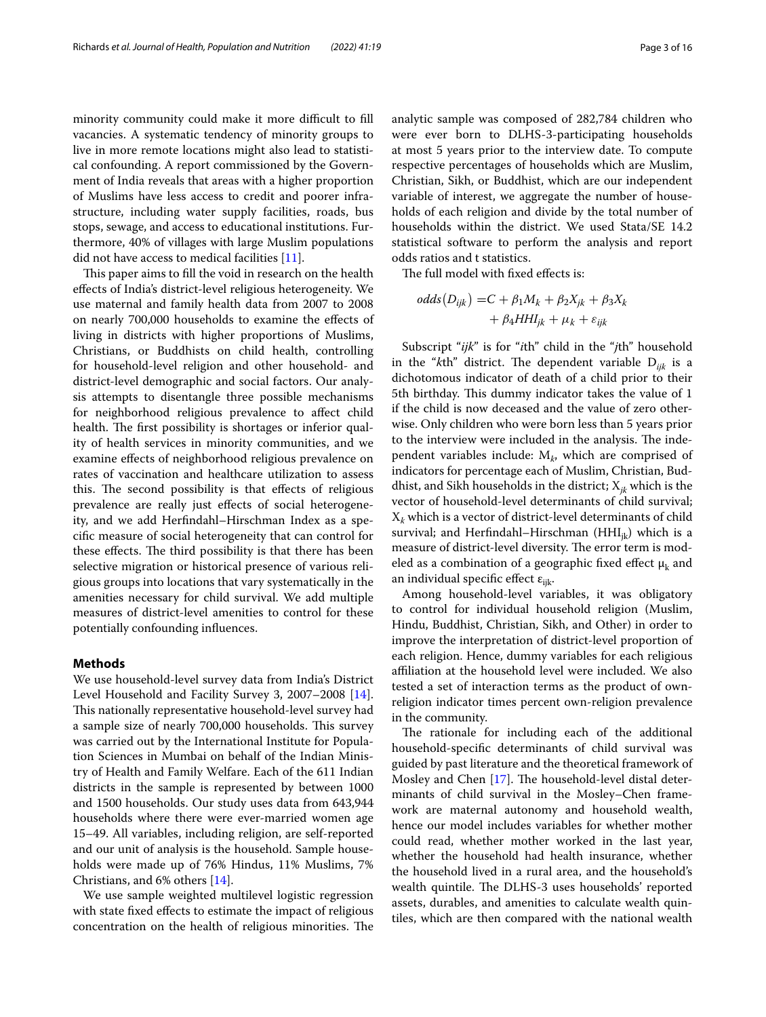minority community could make it more difficult to fill vacancies. A systematic tendency of minority groups to live in more remote locations might also lead to statistical confounding. A report commissioned by the Government of India reveals that areas with a higher proportion of Muslims have less access to credit and poorer infrastructure, including water supply facilities, roads, bus stops, sewage, and access to educational institutions. Furthermore, 40% of villages with large Muslim populations did not have access to medical facilities [[11\]](#page-14-2).

This paper aims to fill the void in research on the health efects of India's district-level religious heterogeneity. We use maternal and family health data from 2007 to 2008 on nearly 700,000 households to examine the efects of living in districts with higher proportions of Muslims, Christians, or Buddhists on child health, controlling for household-level religion and other household- and district-level demographic and social factors. Our analysis attempts to disentangle three possible mechanisms for neighborhood religious prevalence to afect child health. The first possibility is shortages or inferior quality of health services in minority communities, and we examine efects of neighborhood religious prevalence on rates of vaccination and healthcare utilization to assess this. The second possibility is that effects of religious prevalence are really just effects of social heterogeneity, and we add Herfndahl–Hirschman Index as a specifc measure of social heterogeneity that can control for these effects. The third possibility is that there has been selective migration or historical presence of various religious groups into locations that vary systematically in the amenities necessary for child survival. We add multiple measures of district-level amenities to control for these potentially confounding infuences.

## **Methods**

We use household-level survey data from India's District Level Household and Facility Survey 3, 2007–2008 [\[14](#page-15-4)]. This nationally representative household-level survey had a sample size of nearly 700,000 households. This survey was carried out by the International Institute for Population Sciences in Mumbai on behalf of the Indian Ministry of Health and Family Welfare. Each of the 611 Indian districts in the sample is represented by between 1000 and 1500 households. Our study uses data from 643,944 households where there were ever-married women age 15–49. All variables, including religion, are self-reported and our unit of analysis is the household. Sample households were made up of 76% Hindus, 11% Muslims, 7% Christians, and 6% others [\[14](#page-15-4)].

We use sample weighted multilevel logistic regression with state fixed effects to estimate the impact of religious concentration on the health of religious minorities. The analytic sample was composed of 282,784 children who were ever born to DLHS-3-participating households at most 5 years prior to the interview date. To compute respective percentages of households which are Muslim, Christian, Sikh, or Buddhist, which are our independent variable of interest, we aggregate the number of households of each religion and divide by the total number of households within the district. We used Stata/SE 14.2 statistical software to perform the analysis and report odds ratios and t statistics.

The full model with fixed effects is:

$$
odds(D_{ijk}) = C + \beta_1 M_k + \beta_2 X_{jk} + \beta_3 X_k
$$
  
+  $\beta_4 H H I_{jk} + \mu_k + \varepsilon_{ijk}$ 

Subscript "*ijk*" is for "*i*th" child in the "*j*th" household in the " $k$ th" district. The dependent variable  $D_{ijk}$  is a dichotomous indicator of death of a child prior to their 5th birthday. This dummy indicator takes the value of 1 if the child is now deceased and the value of zero otherwise. Only children who were born less than 5 years prior to the interview were included in the analysis. The independent variables include: M*k*, which are comprised of indicators for percentage each of Muslim, Christian, Buddhist, and Sikh households in the district; X*jk* which is the vector of household-level determinants of child survival;  $X_k$  which is a vector of district-level determinants of child survival; and Herfindahl–Hirschman (HH $I_{ik}$ ) which is a measure of district-level diversity. The error term is modeled as a combination of a geographic fixed effect  $\mu_k$  and an individual specific effect  $\varepsilon_{ijk}$ .

Among household-level variables, it was obligatory to control for individual household religion (Muslim, Hindu, Buddhist, Christian, Sikh, and Other) in order to improve the interpretation of district-level proportion of each religion. Hence, dummy variables for each religious afliation at the household level were included. We also tested a set of interaction terms as the product of ownreligion indicator times percent own-religion prevalence in the community.

The rationale for including each of the additional household-specifc determinants of child survival was guided by past literature and the theoretical framework of Mosley and Chen  $[17]$  $[17]$ . The household-level distal determinants of child survival in the Mosley–Chen framework are maternal autonomy and household wealth, hence our model includes variables for whether mother could read, whether mother worked in the last year, whether the household had health insurance, whether the household lived in a rural area, and the household's wealth quintile. The DLHS-3 uses households' reported assets, durables, and amenities to calculate wealth quintiles, which are then compared with the national wealth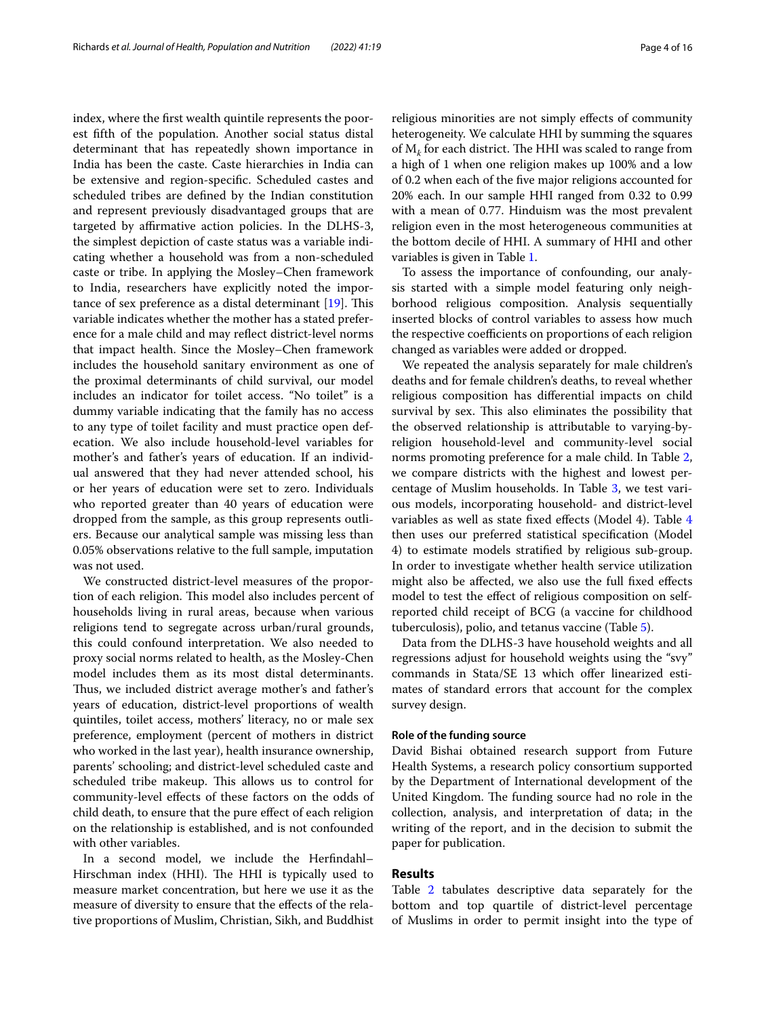index, where the frst wealth quintile represents the poorest ffth of the population. Another social status distal determinant that has repeatedly shown importance in India has been the caste. Caste hierarchies in India can be extensive and region-specifc. Scheduled castes and scheduled tribes are defned by the Indian constitution and represent previously disadvantaged groups that are targeted by affirmative action policies. In the DLHS-3, the simplest depiction of caste status was a variable indicating whether a household was from a non-scheduled caste or tribe. In applying the Mosley–Chen framework to India, researchers have explicitly noted the importance of sex preference as a distal determinant  $[19]$  $[19]$ . This variable indicates whether the mother has a stated preference for a male child and may refect district-level norms that impact health. Since the Mosley–Chen framework includes the household sanitary environment as one of the proximal determinants of child survival, our model includes an indicator for toilet access. "No toilet" is a dummy variable indicating that the family has no access to any type of toilet facility and must practice open defecation. We also include household-level variables for mother's and father's years of education. If an individual answered that they had never attended school, his or her years of education were set to zero. Individuals who reported greater than 40 years of education were dropped from the sample, as this group represents outliers. Because our analytical sample was missing less than 0.05% observations relative to the full sample, imputation was not used.

We constructed district-level measures of the proportion of each religion. This model also includes percent of households living in rural areas, because when various religions tend to segregate across urban/rural grounds, this could confound interpretation. We also needed to proxy social norms related to health, as the Mosley-Chen model includes them as its most distal determinants. Thus, we included district average mother's and father's years of education, district-level proportions of wealth quintiles, toilet access, mothers' literacy, no or male sex preference, employment (percent of mothers in district who worked in the last year), health insurance ownership, parents' schooling; and district-level scheduled caste and scheduled tribe makeup. This allows us to control for community-level efects of these factors on the odds of child death, to ensure that the pure efect of each religion on the relationship is established, and is not confounded with other variables.

In a second model, we include the Herfndahl– Hirschman index (HHI). The HHI is typically used to measure market concentration, but here we use it as the measure of diversity to ensure that the efects of the relative proportions of Muslim, Christian, Sikh, and Buddhist religious minorities are not simply efects of community heterogeneity. We calculate HHI by summing the squares of  $M_k$  for each district. The HHI was scaled to range from a high of 1 when one religion makes up 100% and a low of 0.2 when each of the fve major religions accounted for 20% each. In our sample HHI ranged from 0.32 to 0.99 with a mean of 0.77. Hinduism was the most prevalent religion even in the most heterogeneous communities at the bottom decile of HHI. A summary of HHI and other variables is given in Table [1.](#page-4-0)

To assess the importance of confounding, our analysis started with a simple model featuring only neighborhood religious composition. Analysis sequentially inserted blocks of control variables to assess how much the respective coefficients on proportions of each religion changed as variables were added or dropped.

We repeated the analysis separately for male children's deaths and for female children's deaths, to reveal whether religious composition has diferential impacts on child survival by sex. This also eliminates the possibility that the observed relationship is attributable to varying-byreligion household-level and community-level social norms promoting preference for a male child. In Table [2](#page-5-0), we compare districts with the highest and lowest percentage of Muslim households. In Table [3,](#page-7-0) we test various models, incorporating household- and district-level variables as well as state fxed efects (Model 4). Table [4](#page-9-0) then uses our preferred statistical specifcation (Model 4) to estimate models stratifed by religious sub-group. In order to investigate whether health service utilization might also be afected, we also use the full fxed efects model to test the efect of religious composition on selfreported child receipt of BCG (a vaccine for childhood tuberculosis), polio, and tetanus vaccine (Table [5](#page-11-0)).

Data from the DLHS-3 have household weights and all regressions adjust for household weights using the "svy" commands in Stata/SE 13 which offer linearized estimates of standard errors that account for the complex survey design.

## **Role of the funding source**

David Bishai obtained research support from Future Health Systems, a research policy consortium supported by the Department of International development of the United Kingdom. The funding source had no role in the collection, analysis, and interpretation of data; in the writing of the report, and in the decision to submit the paper for publication.

## **Results**

Table [2](#page-5-0) tabulates descriptive data separately for the bottom and top quartile of district-level percentage of Muslims in order to permit insight into the type of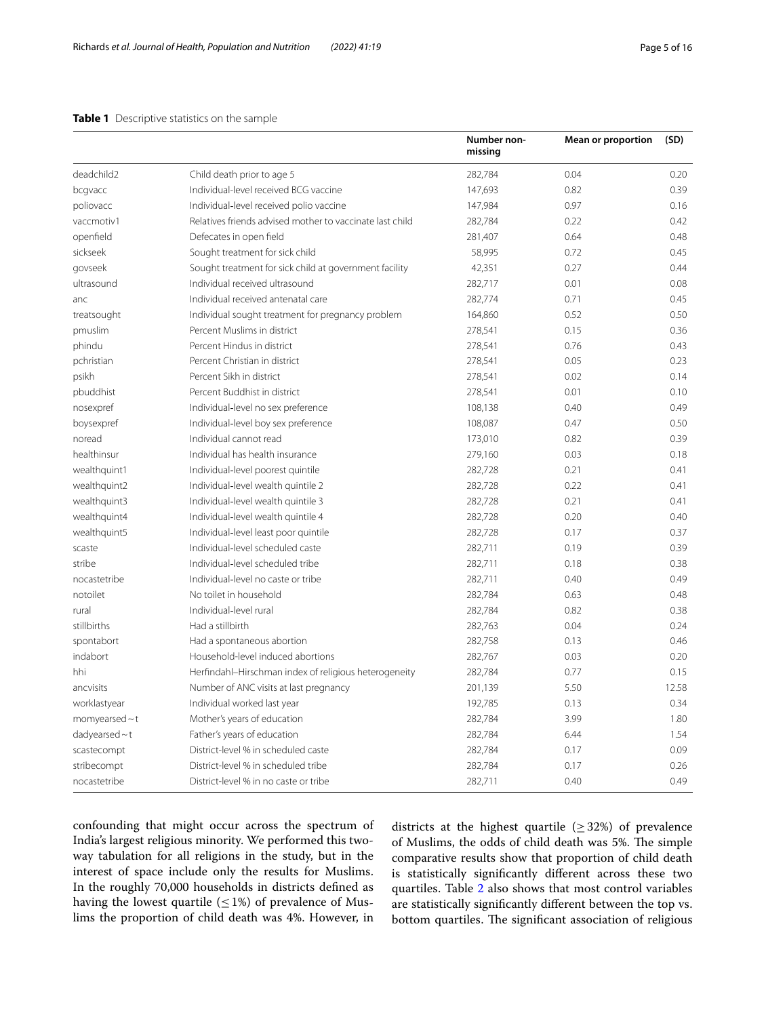# <span id="page-4-0"></span>**Table 1** Descriptive statistics on the sample

|                     |                                                          | Number non-<br>missing | <b>Mean or proportion</b> | (SD)  |
|---------------------|----------------------------------------------------------|------------------------|---------------------------|-------|
| deadchild2          | Child death prior to age 5                               | 282,784                | 0.04                      | 0.20  |
| bcgvacc             | Individual-level received BCG vaccine                    | 147,693                | 0.82                      | 0.39  |
| poliovacc           | Individual-level received polio vaccine                  | 147,984                | 0.97                      | 0.16  |
| vaccmotiv1          | Relatives friends advised mother to vaccinate last child | 282,784                | 0.22                      | 0.42  |
| openfield           | Defecates in open field                                  | 281,407                | 0.64                      | 0.48  |
| sickseek            | Sought treatment for sick child                          | 58,995                 | 0.72                      | 0.45  |
| govseek             | Sought treatment for sick child at government facility   | 42,351                 | 0.27                      | 0.44  |
| ultrasound          | Individual received ultrasound                           | 282,717                | 0.01                      | 0.08  |
| anc                 | Individual received antenatal care                       | 282,774                | 0.71                      | 0.45  |
| treatsought         | Individual sought treatment for pregnancy problem        | 164,860                | 0.52                      | 0.50  |
| pmuslim             | Percent Muslims in district                              | 278,541                | 0.15                      | 0.36  |
| phindu              | Percent Hindus in district                               | 278,541                | 0.76                      | 0.43  |
| pchristian          | Percent Christian in district                            | 278,541                | 0.05                      | 0.23  |
| psikh               | Percent Sikh in district                                 | 278,541                | 0.02                      | 0.14  |
| pbuddhist           | Percent Buddhist in district                             | 278,541                | 0.01                      | 0.10  |
| nosexpref           | Individual-level no sex preference                       | 108,138                | 0.40                      | 0.49  |
| boysexpref          | Individual-level boy sex preference                      | 108,087                | 0.47                      | 0.50  |
| noread              | Individual cannot read                                   | 173,010                | 0.82                      | 0.39  |
| healthinsur         | Individual has health insurance                          | 279,160                | 0.03                      | 0.18  |
| wealthquint1        | Individual-level poorest quintile                        | 282,728                | 0.21                      | 0.41  |
| wealthquint2        | Individual-level wealth quintile 2                       | 282,728                | 0.22                      | 0.41  |
| wealthquint3        | Individual-level wealth quintile 3                       | 282,728                | 0.21                      | 0.41  |
| wealthquint4        | Individual-level wealth quintile 4                       | 282,728                | 0.20                      | 0.40  |
| wealthquint5        | Individual-level least poor quintile                     | 282,728                | 0.17                      | 0.37  |
| scaste              | Individual-level scheduled caste                         | 282,711                | 0.19                      | 0.39  |
| stribe              | Individual-level scheduled tribe                         | 282,711                | 0.18                      | 0.38  |
| nocastetribe        | Individual-level no caste or tribe                       | 282,711                | 0.40                      | 0.49  |
| notoilet            | No toilet in household                                   | 282,784                | 0.63                      | 0.48  |
| rural               | Individual-level rural                                   | 282,784                | 0.82                      | 0.38  |
| stillbirths         | Had a stillbirth                                         | 282,763                | 0.04                      | 0.24  |
| spontabort          | Had a spontaneous abortion                               | 282,758                | 0.13                      | 0.46  |
| indabort            | Household-level induced abortions                        | 282,767                | 0.03                      | 0.20  |
| hhi                 | Herfindahl-Hirschman index of religious heterogeneity    | 282,784                | 0.77                      | 0.15  |
| ancvisits           | Number of ANC visits at last pregnancy                   | 201,139                | 5.50                      | 12.58 |
| worklastyear        | Individual worked last year                              | 192,785                | 0.13                      | 0.34  |
| momyearsed $\sim$ t | Mother's years of education                              | 282,784                | 3.99                      | 1.80  |
| $d$ adyearsed ~ t   | Father's years of education                              | 282,784                | 6.44                      | 1.54  |
| scastecompt         | District-level % in scheduled caste                      | 282,784                | 0.17                      | 0.09  |
| stribecompt         | District-level % in scheduled tribe                      | 282,784                | 0.17                      | 0.26  |
| nocastetribe        | District-level % in no caste or tribe                    | 282,711                | 0.40                      | 0.49  |

confounding that might occur across the spectrum of India's largest religious minority. We performed this twoway tabulation for all religions in the study, but in the interest of space include only the results for Muslims. In the roughly 70,000 households in districts defned as having the lowest quartile  $(\leq 1\%)$  of prevalence of Muslims the proportion of child death was 4%. However, in

districts at the highest quartile ( $\geq$  32%) of prevalence of Muslims, the odds of child death was 5%. The simple comparative results show that proportion of child death is statistically signifcantly diferent across these two quartiles. Table [2](#page-5-0) also shows that most control variables are statistically signifcantly diferent between the top vs. bottom quartiles. The significant association of religious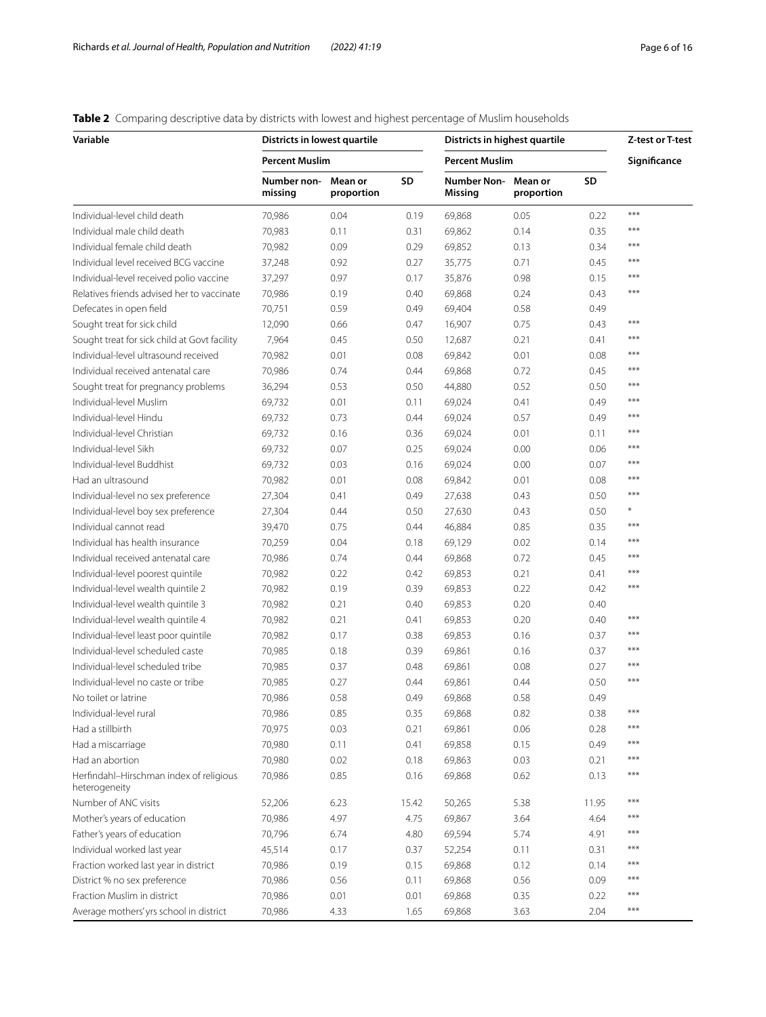# <span id="page-5-0"></span>**Table 2** Comparing descriptive data by districts with lowest and highest percentage of Muslim households

| Variable                                                 | Districts in lowest quartile |                       |           | Districts in highest quartile |              |       | Z-test or T-test |
|----------------------------------------------------------|------------------------------|-----------------------|-----------|-------------------------------|--------------|-------|------------------|
|                                                          | <b>Percent Muslim</b>        |                       |           | <b>Percent Muslim</b>         | Significance |       |                  |
|                                                          | Number non-<br>missing       | Mean or<br>proportion | <b>SD</b> | Number Non-Mean or<br>Missing | proportion   | SD    |                  |
| Individual-level child death                             | 70,986                       | 0.04                  | 0.19      | 69,868                        | 0.05         | 0.22  | $***$            |
| Individual male child death                              | 70,983                       | 0.11                  | 0.31      | 69,862                        | 0.14         | 0.35  | $***$            |
| Individual female child death                            | 70,982                       | 0.09                  | 0.29      | 69,852                        | 0.13         | 0.34  | ***              |
| Individual level received BCG vaccine                    | 37,248                       | 0.92                  | 0.27      | 35,775                        | 0.71         | 0.45  | $***$            |
| Individual-level received polio vaccine                  | 37,297                       | 0.97                  | 0.17      | 35,876                        | 0.98         | 0.15  | ***              |
| Relatives friends advised her to vaccinate               | 70,986                       | 0.19                  | 0.40      | 69,868                        | 0.24         | 0.43  | ***              |
| Defecates in open field                                  | 70,751                       | 0.59                  | 0.49      | 69,404                        | 0.58         | 0.49  |                  |
| Sought treat for sick child                              | 12,090                       | 0.66                  | 0.47      | 16,907                        | 0.75         | 0.43  | $***$            |
| Sought treat for sick child at Govt facility             | 7,964                        | 0.45                  | 0.50      | 12,687                        | 0.21         | 0.41  | $***$            |
| Individual-level ultrasound received                     | 70,982                       | 0.01                  | 0.08      | 69,842                        | 0.01         | 0.08  | $***$            |
| Individual received antenatal care                       | 70,986                       | 0.74                  | 0.44      | 69,868                        | 0.72         | 0.45  | $***$            |
| Sought treat for pregnancy problems                      | 36,294                       | 0.53                  | 0.50      | 44,880                        | 0.52         | 0.50  | $***$            |
| Individual-level Muslim                                  | 69,732                       | 0.01                  | 0.11      | 69,024                        | 0.41         | 0.49  | $***$            |
| Individual-level Hindu                                   | 69,732                       | 0.73                  | 0.44      | 69,024                        | 0.57         | 0.49  | $***$            |
| Individual-level Christian                               | 69,732                       | 0.16                  | 0.36      | 69,024                        | 0.01         | 0.11  | $***$            |
| Individual-level Sikh                                    | 69.732                       | 0.07                  | 0.25      | 69,024                        | 0.00         | 0.06  | $***$            |
| Individual-level Buddhist                                | 69,732                       | 0.03                  | 0.16      | 69,024                        | 0.00         | 0.07  | $***$            |
| Had an ultrasound                                        | 70,982                       | 0.01                  | 0.08      |                               | 0.01         | 0.08  | $***$            |
|                                                          |                              |                       |           | 69,842                        |              |       | ***              |
| Individual-level no sex preference                       | 27,304                       | 0.41                  | 0.49      | 27,638                        | 0.43         | 0.50  | $\ast$           |
| Individual-level boy sex preference                      | 27,304                       | 0.44                  | 0.50      | 27,630                        | 0.43         | 0.50  | $***$            |
| Individual cannot read                                   | 39,470                       | 0.75                  | 0.44      | 46,884                        | 0.85         | 0.35  | $***$            |
| Individual has health insurance                          | 70,259                       | 0.04                  | 0.18      | 69,129                        | 0.02         | 0.14  | ***              |
| Individual received antenatal care                       | 70,986                       | 0.74                  | 0.44      | 69,868                        | 0.72         | 0.45  | $***$            |
| Individual-level poorest quintile                        | 70,982                       | 0.22                  | 0.42      | 69,853                        | 0.21         | 0.41  | $***$            |
| Individual-level wealth quintile 2                       | 70,982                       | 0.19                  | 0.39      | 69,853                        | 0.22         | 0.42  |                  |
| Individual-level wealth quintile 3                       | 70,982                       | 0.21                  | 0.40      | 69,853                        | 0.20         | 0.40  |                  |
| Individual-level wealth quintile 4                       | 70,982                       | 0.21                  | 0.41      | 69,853                        | 0.20         | 0.40  | $***$            |
| Individual-level least poor quintile                     | 70,982                       | 0.17                  | 0.38      | 69,853                        | 0.16         | 0.37  | $***$            |
| Individual-level scheduled caste                         | 70,985                       | 0.18                  | 0.39      | 69,861                        | 0.16         | 0.37  | $***$            |
| Individual-level scheduled tribe                         | 70,985                       | 0.37                  | 0.48      | 69,861                        | 0.08         | 0.27  | $***$            |
| Individual-level no caste or tribe                       | 70,985                       | 0.27                  | 0.44      | 69,861                        | 0.44         | 0.50  | $***$            |
| No toilet or latrine                                     | 70,986                       | 0.58                  | 0.49      | 69,868                        | 0.58         | 0.49  |                  |
| Individual-level rural                                   | 70,986                       | 0.85                  | 0.35      | 69,868                        | 0.82         | 0.38  | $***$            |
| Had a stillbirth                                         | 70,975                       | 0.03                  | 0.21      | 69,861                        | 0.06         | 0.28  | $***$            |
| Had a miscarriage                                        | 70,980                       | 0.11                  | 0.41      | 69,858                        | 0.15         | 0.49  | $***$            |
| Had an abortion                                          | 70,980                       | 0.02                  | 0.18      | 69,863                        | 0.03         | 0.21  | ***              |
| Herfindahl-Hirschman index of religious<br>heterogeneity | 70,986                       | 0.85                  | 0.16      | 69,868                        | 0.62         | 0.13  | $***$            |
| Number of ANC visits                                     | 52,206                       | 6.23                  | 15.42     | 50,265                        | 5.38         | 11.95 | ***              |
| Mother's years of education                              | 70,986                       | 4.97                  | 4.75      | 69,867                        | 3.64         | 4.64  | ***              |
| Father's years of education                              | 70,796                       | 6.74                  | 4.80      | 69,594                        | 5.74         | 4.91  | $***$            |
| Individual worked last year                              | 45,514                       | 0.17                  | 0.37      | 52,254                        | 0.11         | 0.31  | $***$            |
| Fraction worked last year in district                    | 70,986                       | 0.19                  | 0.15      | 69,868                        | 0.12         | 0.14  | $***$            |
| District % no sex preference                             | 70,986                       | 0.56                  | 0.11      | 69,868                        | 0.56         | 0.09  | $***$            |
| Fraction Muslim in district                              | 70,986                       | 0.01                  | 0.01      | 69,868                        | 0.35         | 0.22  | $***$            |
| Average mothers' yrs school in district                  | 70,986                       | 4.33                  | 1.65      | 69,868                        | 3.63         | 2.04  | $***$            |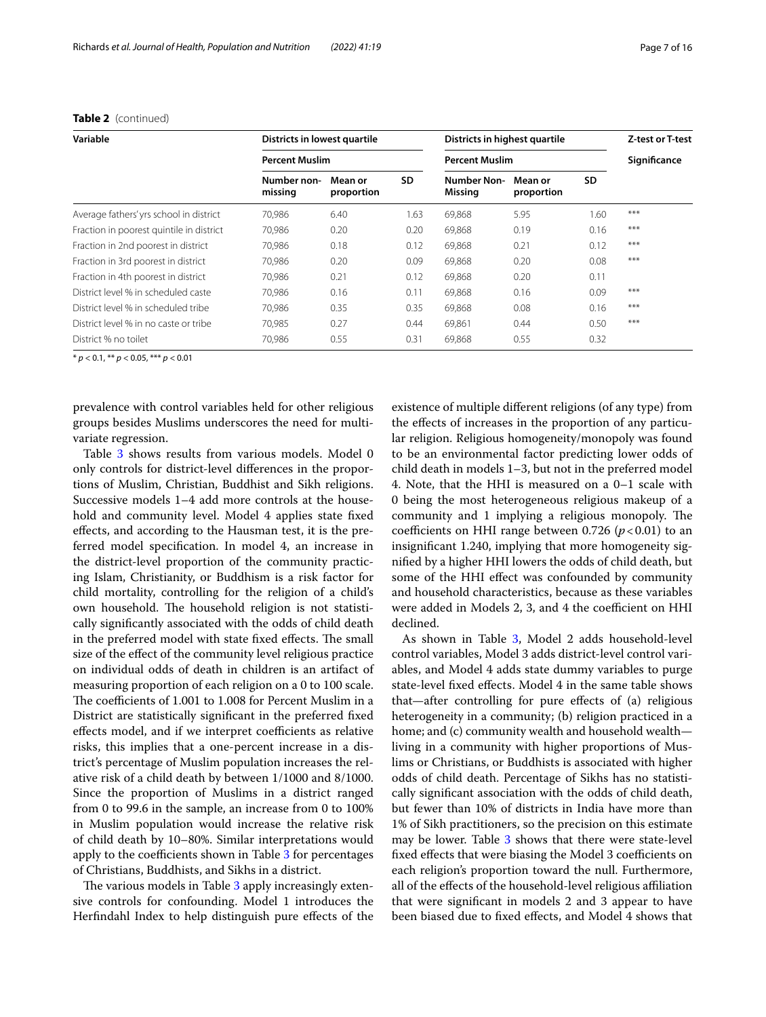| Variable                                 | Districts in lowest quartile |                       |           | Districts in highest quartile |                       |           | Z-test or T-test |
|------------------------------------------|------------------------------|-----------------------|-----------|-------------------------------|-----------------------|-----------|------------------|
|                                          |                              | <b>Percent Muslim</b> |           |                               | <b>Percent Muslim</b> |           |                  |
|                                          | Number non-<br>missing       | Mean or<br>proportion | <b>SD</b> | <b>Number Non-</b><br>Missing | Mean or<br>proportion | <b>SD</b> |                  |
| Average fathers' yrs school in district  | 70,986                       | 6.40                  | 1.63      | 69,868                        | 5.95                  | 1.60      | $***$            |
| Fraction in poorest quintile in district | 70,986                       | 0.20                  | 0.20      | 69,868                        | 0.19                  | 0.16      | $***$            |
| Fraction in 2nd poorest in district      | 70.986                       | 0.18                  | 0.12      | 69,868                        | 0.21                  | 0.12      | $***$            |
| Fraction in 3rd poorest in district      | 70,986                       | 0.20                  | 0.09      | 69,868                        | 0.20                  | 0.08      | $***$            |
| Fraction in 4th poorest in district      | 70,986                       | 0.21                  | 0.12      | 69,868                        | 0.20                  | 0.11      |                  |
| District level % in scheduled caste      | 70.986                       | 0.16                  | 0.11      | 69,868                        | 0.16                  | 0.09      | $***$            |
| District level % in scheduled tribe      | 70.986                       | 0.35                  | 0.35      | 69,868                        | 0.08                  | 0.16      | $***$            |
| District level % in no caste or tribe    | 70.985                       | 0.27                  | 0.44      | 69.861                        | 0.44                  | 0.50      | $***$            |
| District % no toilet                     | 70,986                       | 0.55                  | 0.31      | 69,868                        | 0.55                  | 0.32      |                  |

**Table 2** (continued)

\* *p* < 0.1, \*\* *p* < 0.05, \*\*\* *p* < 0.01

prevalence with control variables held for other religious groups besides Muslims underscores the need for multivariate regression.

Table [3](#page-7-0) shows results from various models. Model 0 only controls for district-level diferences in the proportions of Muslim, Christian, Buddhist and Sikh religions. Successive models 1–4 add more controls at the household and community level. Model 4 applies state fxed efects, and according to the Hausman test, it is the preferred model specifcation. In model 4, an increase in the district-level proportion of the community practicing Islam, Christianity, or Buddhism is a risk factor for child mortality, controlling for the religion of a child's own household. The household religion is not statistically signifcantly associated with the odds of child death in the preferred model with state fixed effects. The small size of the efect of the community level religious practice on individual odds of death in children is an artifact of measuring proportion of each religion on a 0 to 100 scale. The coefficients of 1.001 to 1.008 for Percent Muslim in a District are statistically signifcant in the preferred fxed effects model, and if we interpret coefficients as relative risks, this implies that a one-percent increase in a district's percentage of Muslim population increases the relative risk of a child death by between 1/1000 and 8/1000. Since the proportion of Muslims in a district ranged from 0 to 99.6 in the sample, an increase from 0 to 100% in Muslim population would increase the relative risk of child death by 10–80%. Similar interpretations would apply to the coefficients shown in Table [3](#page-7-0) for percentages of Christians, Buddhists, and Sikhs in a district.

The various models in Table [3](#page-7-0) apply increasingly extensive controls for confounding. Model 1 introduces the Herfndahl Index to help distinguish pure efects of the existence of multiple diferent religions (of any type) from the efects of increases in the proportion of any particular religion. Religious homogeneity/monopoly was found to be an environmental factor predicting lower odds of child death in models 1–3, but not in the preferred model 4. Note, that the HHI is measured on a 0–1 scale with 0 being the most heterogeneous religious makeup of a community and 1 implying a religious monopoly. The coefficients on HHI range between 0.726  $(p<0.01)$  to an insignifcant 1.240, implying that more homogeneity signifed by a higher HHI lowers the odds of child death, but some of the HHI efect was confounded by community and household characteristics, because as these variables were added in Models 2, 3, and 4 the coefficient on HHI declined.

As shown in Table [3](#page-7-0), Model 2 adds household-level control variables, Model 3 adds district-level control variables, and Model 4 adds state dummy variables to purge state-level fxed efects. Model 4 in the same table shows that—after controlling for pure efects of (a) religious heterogeneity in a community; (b) religion practiced in a home; and (c) community wealth and household wealth living in a community with higher proportions of Muslims or Christians, or Buddhists is associated with higher odds of child death. Percentage of Sikhs has no statistically signifcant association with the odds of child death, but fewer than 10% of districts in India have more than 1% of Sikh practitioners, so the precision on this estimate may be lower. Table [3](#page-7-0) shows that there were state-level fixed effects that were biasing the Model 3 coefficients on each religion's proportion toward the null. Furthermore, all of the efects of the household-level religious afliation that were signifcant in models 2 and 3 appear to have been biased due to fxed efects, and Model 4 shows that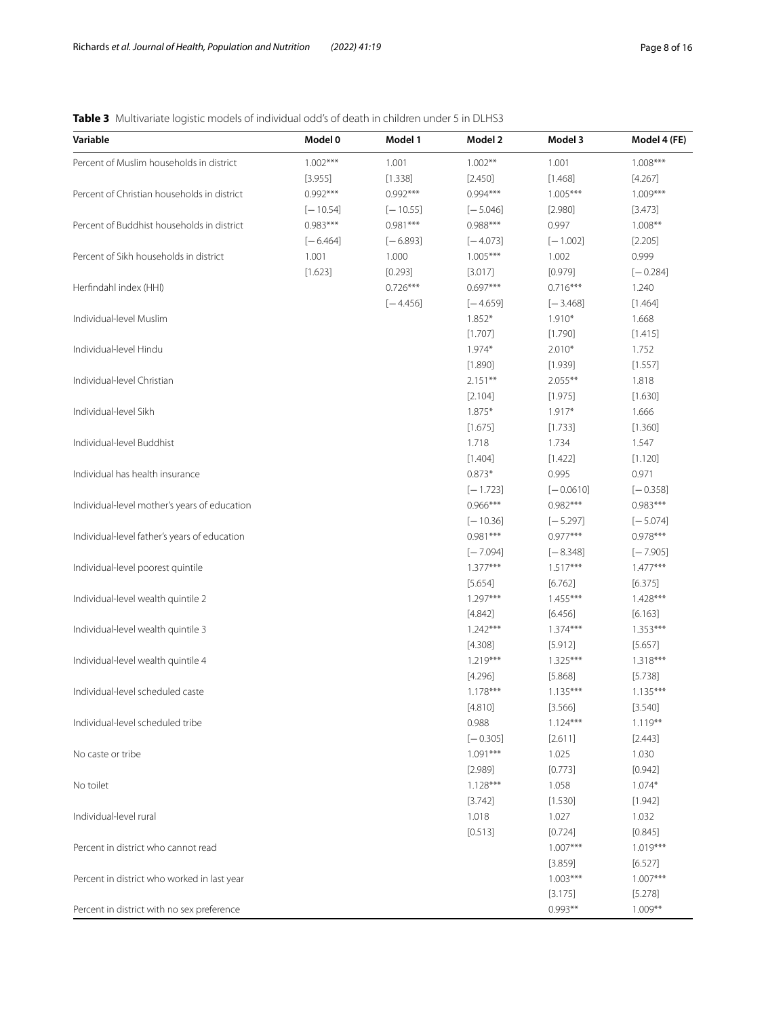# <span id="page-7-0"></span>**Table 3** Multivariate logistic models of individual odd's of death in children under 5 in DLHS3

| Variable                                     | Model 0    | Model 1    | Model 2          | Model 3               | Model 4 (FE)          |
|----------------------------------------------|------------|------------|------------------|-----------------------|-----------------------|
| Percent of Muslim households in district     | $1.002***$ | 1.001      | $1.002**$        | 1.001                 | $1.008***$            |
|                                              | [3.955]    | [1.338]    | [2.450]          | [1.468]               | [4.267]               |
| Percent of Christian households in district  | $0.992***$ | $0.992***$ | $0.994***$       | $1.005***$            | $1.009***$            |
|                                              | $[-10.54]$ | $[-10.55]$ | $[-5.046]$       | [2.980]               | [3.473]               |
| Percent of Buddhist households in district   | $0.983***$ | $0.981***$ | $0.988***$       | 0.997                 | $1.008**$             |
|                                              | $[-6.464]$ | $[-6.893]$ | $[-4.073]$       | $[-1.002]$            | [2.205]               |
| Percent of Sikh households in district       | 1.001      | 1.000      | $1.005***$       | 1.002                 | 0.999                 |
|                                              | [1.623]    | [0.293]    | [3.017]          | [0.979]               | $[-0.284]$            |
| Herfindahl index (HHI)                       |            | $0.726***$ | $0.697***$       | $0.716***$            | 1.240                 |
|                                              |            | $[-4.456]$ | $[-4.659]$       | $[-3.468]$            | [1.464]               |
| Individual-level Muslim                      |            |            | $1.852*$         | $1.910*$              | 1.668                 |
|                                              |            |            | [1.707]          | [1.790]               | [1.415]               |
| Individual-level Hindu                       |            |            | $1.974*$         | $2.010*$              | 1.752                 |
|                                              |            |            | [1.890]          | [1.939]               | [1.557]               |
| Individual-level Christian                   |            |            | $2.151***$       | $2.055***$            | 1.818                 |
|                                              |            |            | [2.104]          | [1.975]               | [1.630]               |
| Individual-level Sikh                        |            |            | 1.875*           | $1.917*$              | 1.666                 |
|                                              |            |            | [1.675]          | [1.733]               | [1.360]               |
| Individual-level Buddhist                    |            |            | 1.718            | 1.734                 | 1.547                 |
|                                              |            |            | [1.404]          | [1.422]               | [1.120]               |
| Individual has health insurance              |            |            | $0.873*$         | 0.995                 | 0.971                 |
|                                              |            |            | $[-1.723]$       | $[-0.0610]$           | $[-0.358]$            |
| Individual-level mother's years of education |            |            | $0.966***$       | $0.982***$            | $0.983***$            |
|                                              |            |            | $[-10.36]$       | $[-5.297]$            | $[-5.074]$            |
| Individual-level father's years of education |            |            | $0.981***$       | $0.977***$            | $0.978***$            |
|                                              |            |            | $[-7.094]$       | $[-8.348]$            | $[-7.905]$            |
| Individual-level poorest quintile            |            |            | $1.377***$       | $1.517***$            | $1.477***$            |
|                                              |            |            | [5.654]          | [6.762]               | [6.375]               |
| Individual-level wealth quintile 2           |            |            | $1.297***$       | $1.455***$            | $1.428***$            |
|                                              |            |            | [4.842]          | [6.456]               | [6.163]               |
| Individual-level wealth quintile 3           |            |            | $1.242***$       | $1.374***$            | $1.353***$            |
|                                              |            |            | [4.308]          | [5.912]               | [5.657]               |
| Individual-level wealth quintile 4           |            |            | $1.219***$       | $1.325***$            | $1.318***$            |
|                                              |            |            | [4.296]          | [5.868]               | [5.738]               |
| Individual-level scheduled caste             |            |            | $1.178***$       | $1.135***$            | $1.135***$            |
|                                              |            |            | [4.810]          | [3.566]               | [3.540]               |
| Individual-level scheduled tribe             |            |            | 0.988            | $1.124***$            | $1.119***$            |
|                                              |            |            | $[-0.305]$       | [2.611]               | [2.443]               |
| No caste or tribe                            |            |            | $1.091***$       | 1.025                 | 1.030                 |
|                                              |            |            | [2.989]          | [0.773]               | [0.942]               |
| No toilet                                    |            |            | $1.128***$       |                       |                       |
|                                              |            |            |                  | 1.058                 | $1.074*$              |
| Individual-level rural                       |            |            | [3.742]<br>1.018 | [1.530]               | [1.942]<br>1.032      |
|                                              |            |            |                  | 1.027                 |                       |
|                                              |            |            | [0.513]          | [0.724]<br>$1.007***$ | [0.845]               |
| Percent in district who cannot read          |            |            |                  |                       | $1.019***$            |
|                                              |            |            |                  | [3.859]<br>$1.003***$ | [6.527]<br>$1.007***$ |
| Percent in district who worked in last year  |            |            |                  |                       |                       |
|                                              |            |            |                  | [3.175]               | [5.278]               |
| Percent in district with no sex preference   |            |            |                  | $0.993**$             | $1.009**$             |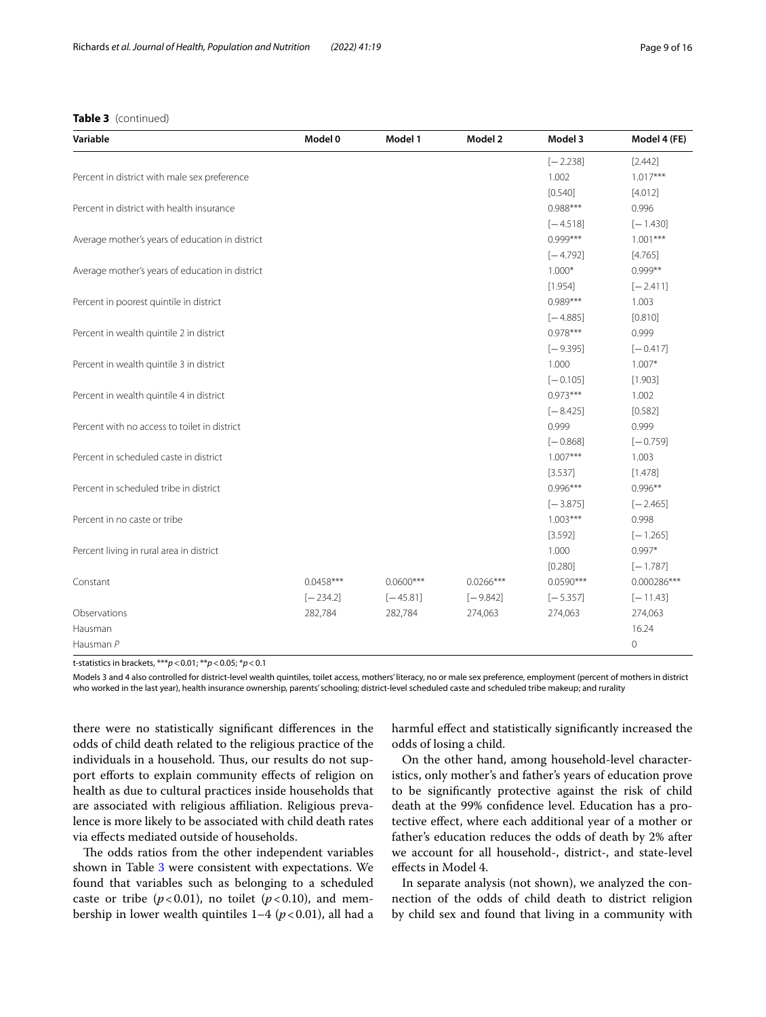# **Table 3** (continued)

| Variable                                        | Model 0     | Model 1     | Model 2     | Model 3     | Model 4 (FE) |
|-------------------------------------------------|-------------|-------------|-------------|-------------|--------------|
|                                                 |             |             |             | $[-2.238]$  | [2.442]      |
| Percent in district with male sex preference    |             |             |             | 1.002       | $1.017***$   |
|                                                 |             |             |             | [0.540]     | [4.012]      |
| Percent in district with health insurance       |             |             |             | $0.988***$  | 0.996        |
|                                                 |             |             |             | $[-4.518]$  | $[-1.430]$   |
| Average mother's years of education in district |             |             |             | $0.999***$  | $1.001***$   |
|                                                 |             |             |             | $[-4.792]$  | [4.765]      |
| Average mother's years of education in district |             |             |             | $1.000*$    | $0.999**$    |
|                                                 |             |             |             | [1.954]     | $[-2.411]$   |
| Percent in poorest quintile in district         |             |             |             | $0.989***$  | 1.003        |
|                                                 |             |             |             | $[-4.885]$  | [0.810]      |
| Percent in wealth quintile 2 in district        |             |             |             | $0.978***$  | 0.999        |
|                                                 |             |             |             | $[-9.395]$  | $[-0.417]$   |
| Percent in wealth quintile 3 in district        |             |             |             | 1.000       | $1.007*$     |
|                                                 |             |             |             | $[-0.105]$  | [1.903]      |
| Percent in wealth quintile 4 in district        |             |             |             | $0.973***$  | 1.002        |
|                                                 |             |             |             | $[-8.425]$  | [0.582]      |
| Percent with no access to toilet in district    |             |             |             | 0.999       | 0.999        |
|                                                 |             |             |             | $[-0.868]$  | $[-0.759]$   |
| Percent in scheduled caste in district          |             |             |             | $1.007***$  | 1.003        |
|                                                 |             |             |             | [3.537]     | [1.478]      |
| Percent in scheduled tribe in district          |             |             |             | $0.996***$  | $0.996**$    |
|                                                 |             |             |             | $[-3.875]$  | $[-2.465]$   |
| Percent in no caste or tribe                    |             |             |             | $1.003***$  | 0.998        |
|                                                 |             |             |             | [3.592]     | $[-1.265]$   |
| Percent living in rural area in district        |             |             |             | 1.000       | $0.997*$     |
|                                                 |             |             |             | [0.280]     | $[-1.787]$   |
| Constant                                        | $0.0458***$ | $0.0600***$ | $0.0266***$ | $0.0590***$ | 0.000286***  |
|                                                 | $[-234.2]$  | $[-45.81]$  | $[-9.842]$  | $[-5.357]$  | $[-11.43]$   |
| Observations                                    | 282,784     | 282,784     | 274,063     | 274,063     | 274,063      |
| Hausman                                         |             |             |             |             | 16.24        |
| Hausman P                                       |             |             |             |             | 0            |

t-statistics in brackets, \*\*\**p*<0.01; \*\**p*<0.05; \**p*<0.1

Models 3 and 4 also controlled for district-level wealth quintiles, toilet access, mothers' literacy, no or male sex preference, employment (percent of mothers in district who worked in the last year), health insurance ownership, parents' schooling; district-level scheduled caste and scheduled tribe makeup; and rurality

there were no statistically signifcant diferences in the odds of child death related to the religious practice of the individuals in a household. Thus, our results do not support efforts to explain community effects of religion on health as due to cultural practices inside households that are associated with religious affiliation. Religious prevalence is more likely to be associated with child death rates via efects mediated outside of households.

The odds ratios from the other independent variables shown in Table [3](#page-7-0) were consistent with expectations. We found that variables such as belonging to a scheduled caste or tribe  $(p<0.01)$ , no toilet  $(p<0.10)$ , and membership in lower wealth quintiles  $1-4$  ( $p < 0.01$ ), all had a harmful efect and statistically signifcantly increased the odds of losing a child.

On the other hand, among household-level characteristics, only mother's and father's years of education prove to be signifcantly protective against the risk of child death at the 99% confdence level. Education has a protective efect, where each additional year of a mother or father's education reduces the odds of death by 2% after we account for all household-, district-, and state-level efects in Model 4.

In separate analysis (not shown), we analyzed the connection of the odds of child death to district religion by child sex and found that living in a community with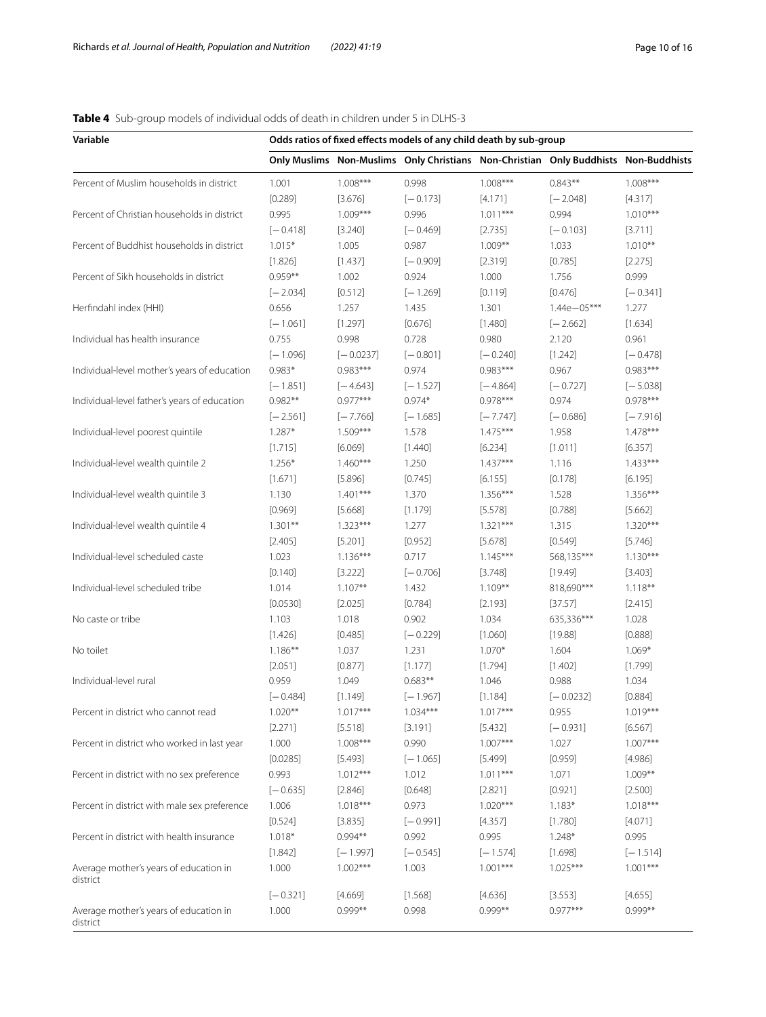# <span id="page-9-0"></span>**Table 4** Sub-group models of individual odds of death in children under 5 in DLHS-3

| Variable                                     | Odds ratios of fixed effects models of any child death by sub-group |                          |                     |                          |                                                                                     |                          |  |
|----------------------------------------------|---------------------------------------------------------------------|--------------------------|---------------------|--------------------------|-------------------------------------------------------------------------------------|--------------------------|--|
|                                              |                                                                     |                          |                     |                          | Only Muslims Non-Muslims Only Christians Non-Christian Only Buddhists Non-Buddhists |                          |  |
| Percent of Muslim households in district     | 1.001                                                               | $1.008***$               | 0.998               | $1.008***$               | $0.843**$                                                                           | $1.008***$               |  |
|                                              | [0.289]                                                             | [3.676]                  | $[-0.173]$          | [4.171]                  | $[-2.048]$                                                                          | [4.317]                  |  |
| Percent of Christian households in district  | 0.995                                                               | $1.009***$               | 0.996               | $1.011***$               | 0.994                                                                               | $1.010***$               |  |
|                                              | $[-0.418]$                                                          | [3.240]                  | $[-0.469]$          | [2.735]                  | $[-0.103]$                                                                          | [3.711]                  |  |
| Percent of Buddhist households in district   | $1.015*$                                                            | 1.005                    | 0.987               | $1.009**$                | 1.033                                                                               | $1.010**$                |  |
|                                              | [1.826]                                                             | [1.437]                  | $[-0.909]$          | [2.319]                  | [0.785]                                                                             | [2.275]                  |  |
| Percent of Sikh households in district       | $0.959**$                                                           | 1.002                    | 0.924               | 1.000                    | 1.756                                                                               | 0.999                    |  |
|                                              | $[-2.034]$                                                          | [0.512]                  | $[-1.269]$          | [0.119]                  | [0.476]                                                                             | $[-0.341]$               |  |
| Herfindahl index (HHI)                       | 0.656                                                               | 1.257                    | 1.435               | 1.301                    | $1.44e - 05***$                                                                     | 1.277                    |  |
|                                              | $[-1.061]$                                                          | [1.297]                  | [0.676]             | [1.480]                  | $[-2.662]$                                                                          | [1.634]                  |  |
| Individual has health insurance              | 0.755                                                               | 0.998                    | 0.728               | 0.980                    | 2.120                                                                               | 0.961                    |  |
|                                              | $[-1.096]$                                                          | $[-0.0237]$              | $[-0.801]$          | $[-0.240]$               | [1.242]                                                                             | $[-0.478]$               |  |
| Individual-level mother's years of education | $0.983*$                                                            | $0.983***$               | 0.974               | $0.983***$               | 0.967                                                                               | $0.983***$               |  |
|                                              | $[-1.851]$                                                          | $[-4.643]$               | $[-1.527]$          | $[-4.864]$               | $[-0.727]$                                                                          | $[-5.038]$               |  |
| Individual-level father's years of education | $0.982**$                                                           | $0.977***$               | $0.974*$            | $0.978***$               | 0.974                                                                               | $0.978***$               |  |
|                                              | $[-2.561]$                                                          | $[-7.766]$               | $[-1.685]$          | $[-7.747]$               | $[-0.686]$                                                                          | $[-7.916]$               |  |
| Individual-level poorest quintile            | $1.287*$                                                            | $1.509***$               | 1.578               | $1.475***$               | 1.958                                                                               | $1.478***$               |  |
|                                              | [1.715]                                                             | [6.069]                  | [1.440]             | [6.234]                  | [1.011]                                                                             | [6.357]                  |  |
| Individual-level wealth quintile 2           | $1.256*$                                                            | $1.460***$               | 1.250               | $1.437***$               | 1.116                                                                               | $1.433***$               |  |
|                                              | [1.671]                                                             | [5.896]                  | [0.745]             | [6.155]                  | [0.178]                                                                             | [6.195]                  |  |
| Individual-level wealth quintile 3           | 1.130                                                               | $1.401***$               | 1.370               | $1.356***$               | 1.528                                                                               | $1.356***$               |  |
|                                              | [0.969]                                                             | [5.668]                  | [1.179]             | [5.578]                  | [0.788]                                                                             | [5.662]                  |  |
| Individual-level wealth quintile 4           | $1.301**$                                                           | $1.323***$               | 1.277               | $1.321***$               | 1.315                                                                               | $1.320***$               |  |
|                                              | [2.405]                                                             | [5.201]                  | [0.952]             | [5.678]                  | [0.549]                                                                             | [5.746]                  |  |
| Individual-level scheduled caste             | 1.023                                                               | $1.136***$               | 0.717               | $1.145***$               | 568,135***                                                                          | $1.130***$               |  |
|                                              | [0.140]                                                             | [3.222]                  | $[-0.706]$          | [3.748]                  | [19.49]                                                                             | [3.403]                  |  |
| Individual-level scheduled tribe             | 1.014                                                               | $1.107**$                | 1.432               | $1.109***$               | 818,690***                                                                          | $1.118***$               |  |
|                                              | [0.0530]                                                            | [2.025]                  | [0.784]             | [2.193]                  | [37.57]                                                                             | [2.415]                  |  |
| No caste or tribe                            | 1.103                                                               | 1.018                    | 0.902               | 1.034                    | 635,336***                                                                          | 1.028                    |  |
|                                              | [1.426]                                                             | [0.485]                  | $[-0.229]$          | [1.060]                  | [19.88]                                                                             | [0.888]                  |  |
| No toilet                                    | $1.186***$                                                          | 1.037                    | 1.231               | $1.070*$                 | 1.604                                                                               | $1.069*$                 |  |
|                                              | [2.051]                                                             | [0.877]                  | [1.177]             | [1.794]                  | [1.402]                                                                             | [1.799]                  |  |
| Individual-level rural                       | 0.959                                                               | 1.049                    | $0.683**$           | 1.046                    | 0.988                                                                               | 1.034                    |  |
|                                              | $[-0.484]$                                                          | [1.149]                  | $[-1.967]$          | [1.184]                  | $[-0.0232]$                                                                         | [0.884]                  |  |
| Percent in district who cannot read          | $1.020**$                                                           | $1.017***$               | $1.034***$          | $1.017***$               | 0.955                                                                               | $1.019***$               |  |
|                                              | [2.271]                                                             | [5.518]                  | [3.191]             | [5.432]                  | $[-0.931]$                                                                          | [6.567]                  |  |
| Percent in district who worked in last year  | 1.000                                                               | $1.008***$               | 0.990               | $1.007***$               | 1.027                                                                               | $1.007***$               |  |
|                                              | [0.0285]                                                            | [5.493]                  | $[-1.065]$          | [5.499]                  | [0.959]                                                                             | [4.986]                  |  |
| Percent in district with no sex preference   | 0.993                                                               | $1.012***$               | 1.012               | $1.011***$               | 1.071                                                                               | $1.009**$                |  |
|                                              | $[-0.635]$                                                          | [2.846]                  | [0.648]             | [2.821]                  | [0.921]                                                                             | [2.500]                  |  |
| Percent in district with male sex preference | 1.006                                                               | $1.018***$               | 0.973               | $1.020***$               | $1.183*$                                                                            | $1.018***$               |  |
|                                              | [0.524]                                                             | [3.835]                  | $[-0.991]$          | [4.357]                  | [1.780]                                                                             | [4.071]                  |  |
| Percent in district with health insurance    | $1.018*$                                                            | $0.994**$                | 0.992               | 0.995                    | $1.248*$                                                                            | 0.995                    |  |
|                                              |                                                                     |                          |                     |                          |                                                                                     |                          |  |
| Average mother's years of education in       | [1.842]<br>1.000                                                    | $[-1.997]$<br>$1.002***$ | $[-0.545]$<br>1.003 | $[-1.574]$<br>$1.001***$ | [1.698]<br>$1.025***$                                                               | $[-1.514]$<br>$1.001***$ |  |
| district                                     | $[-0.321]$                                                          | [4.669]                  | [1.568]             | [4.636]                  | [3.553]                                                                             | [4.655]                  |  |
| Average mother's years of education in       | 1.000                                                               | $0.999**$                | 0.998               | $0.999**$                | $0.977***$                                                                          | $0.999**$                |  |
| district                                     |                                                                     |                          |                     |                          |                                                                                     |                          |  |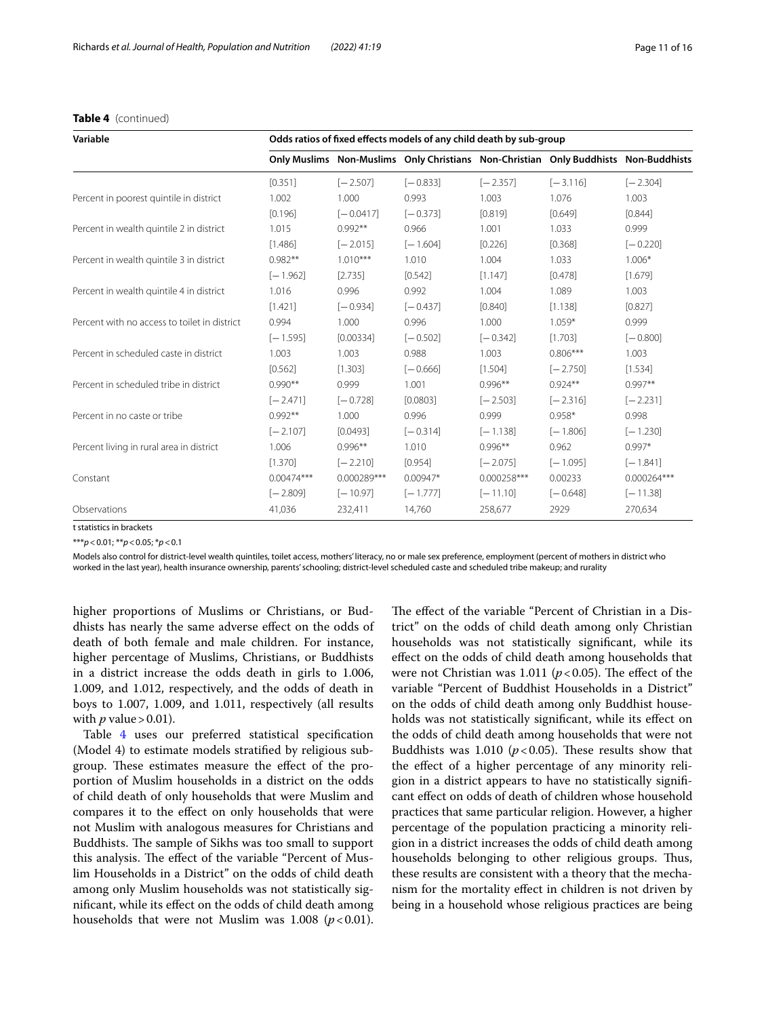| Variable                                     | Odds ratios of fixed effects models of any child death by sub-group |             |            |             |                                                                                     |             |  |  |  |
|----------------------------------------------|---------------------------------------------------------------------|-------------|------------|-------------|-------------------------------------------------------------------------------------|-------------|--|--|--|
|                                              |                                                                     |             |            |             | Only Muslims Non-Muslims Only Christians Non-Christian Only Buddhists Non-Buddhists |             |  |  |  |
|                                              | [0.351]                                                             | $[-2.507]$  | $[-0.833]$ | $[-2.357]$  | $[-3.116]$                                                                          | $[-2.304]$  |  |  |  |
| Percent in poorest quintile in district      | 1.002                                                               | 1.000       | 0.993      | 1.003       | 1.076                                                                               | 1.003       |  |  |  |
|                                              | [0.196]                                                             | $[-0.0417]$ | $[-0.373]$ | [0.819]     | [0.649]                                                                             | [0.844]     |  |  |  |
| Percent in wealth quintile 2 in district     | 1.015                                                               | $0.992**$   | 0.966      | 1.001       | 1.033                                                                               | 0.999       |  |  |  |
|                                              | [1.486]                                                             | $[-2.015]$  | $[-1.604]$ | [0.226]     | [0.368]                                                                             | $[-0.220]$  |  |  |  |
| Percent in wealth quintile 3 in district     | $0.982**$                                                           | $1.010***$  | 1.010      | 1.004       | 1.033                                                                               | $1.006*$    |  |  |  |
|                                              | $[-1.962]$                                                          | [2.735]     | [0.542]    | [1.147]     | [0.478]                                                                             | [1.679]     |  |  |  |
| Percent in wealth quintile 4 in district     | 1.016                                                               | 0.996       | 0.992      | 1.004       | 1.089                                                                               | 1.003       |  |  |  |
|                                              | [1.421]                                                             | $[-0.934]$  | $[-0.437]$ | [0.840]     | [1.138]                                                                             | [0.827]     |  |  |  |
| Percent with no access to toilet in district | 0.994                                                               | 1.000       | 0.996      | 1.000       | $1.059*$                                                                            | 0.999       |  |  |  |
|                                              | $[-1.595]$                                                          | [0.00334]   | $[-0.502]$ | $[-0.342]$  | [1.703]                                                                             | $[-0.800]$  |  |  |  |
| Percent in scheduled caste in district       | 1.003                                                               | 1.003       | 0.988      | 1.003       | $0.806***$                                                                          | 1.003       |  |  |  |
|                                              | [0.562]                                                             | [1.303]     | $[-0.666]$ | [1.504]     | $[-2.750]$                                                                          | [1.534]     |  |  |  |
| Percent in scheduled tribe in district       | $0.990**$                                                           | 0.999       | 1.001      | $0.996**$   | $0.924**$                                                                           | $0.997**$   |  |  |  |
|                                              | $[-2.471]$                                                          | $[-0.728]$  | [0.0803]   | $[-2.503]$  | $[-2.316]$                                                                          | $[-2.231]$  |  |  |  |
| Percent in no caste or tribe                 | $0.992**$                                                           | 1.000       | 0.996      | 0.999       | $0.958*$                                                                            | 0.998       |  |  |  |
|                                              | $[-2.107]$                                                          | [0.0493]    | $[-0.314]$ | $[-1.138]$  | $[-1.806]$                                                                          | $[-1.230]$  |  |  |  |
| Percent living in rural area in district     | 1.006                                                               | $0.996**$   | 1.010      | $0.996**$   | 0.962                                                                               | $0.997*$    |  |  |  |
|                                              | [1.370]                                                             | $[-2.210]$  | [0.954]    | $[-2.075]$  | $[-1.095]$                                                                          | $[-1.841]$  |  |  |  |
| Constant                                     | $0.00474***$                                                        | 0.000289*** | $0.00947*$ | 0.000258*** | 0.00233                                                                             | 0.000264*** |  |  |  |
|                                              | $[-2.809]$                                                          | $[-10.97]$  | $[-1.777]$ | $[-11.10]$  | $[-0.648]$                                                                          | $[-11.38]$  |  |  |  |
| Observations                                 | 41,036                                                              | 232,411     | 14,760     | 258,677     | 2929                                                                                | 270,634     |  |  |  |

## **Table 4** (continued)

t statistics in brackets

\*\*\**p*<0.01; \*\**p*<0.05; \**p*<0.1

Models also control for district-level wealth quintiles, toilet access, mothers' literacy, no or male sex preference, employment (percent of mothers in district who worked in the last year), health insurance ownership, parents' schooling; district-level scheduled caste and scheduled tribe makeup; and rurality

higher proportions of Muslims or Christians, or Buddhists has nearly the same adverse efect on the odds of death of both female and male children. For instance, higher percentage of Muslims, Christians, or Buddhists in a district increase the odds death in girls to 1.006, 1.009, and 1.012, respectively, and the odds of death in boys to 1.007, 1.009, and 1.011, respectively (all results with  $p$  value > 0.01).

Table [4](#page-9-0) uses our preferred statistical specifcation (Model 4) to estimate models stratifed by religious subgroup. These estimates measure the effect of the proportion of Muslim households in a district on the odds of child death of only households that were Muslim and compares it to the efect on only households that were not Muslim with analogous measures for Christians and Buddhists. The sample of Sikhs was too small to support this analysis. The effect of the variable "Percent of Muslim Households in a District" on the odds of child death among only Muslim households was not statistically signifcant, while its efect on the odds of child death among households that were not Muslim was  $1.008$  ( $p < 0.01$ ).

The effect of the variable "Percent of Christian in a District" on the odds of child death among only Christian households was not statistically signifcant, while its efect on the odds of child death among households that were not Christian was 1.011 ( $p < 0.05$ ). The effect of the variable "Percent of Buddhist Households in a District" on the odds of child death among only Buddhist households was not statistically signifcant, while its efect on the odds of child death among households that were not Buddhists was 1.010 ( $p < 0.05$ ). These results show that the efect of a higher percentage of any minority religion in a district appears to have no statistically signifcant efect on odds of death of children whose household practices that same particular religion. However, a higher percentage of the population practicing a minority religion in a district increases the odds of child death among households belonging to other religious groups. Thus, these results are consistent with a theory that the mechanism for the mortality efect in children is not driven by being in a household whose religious practices are being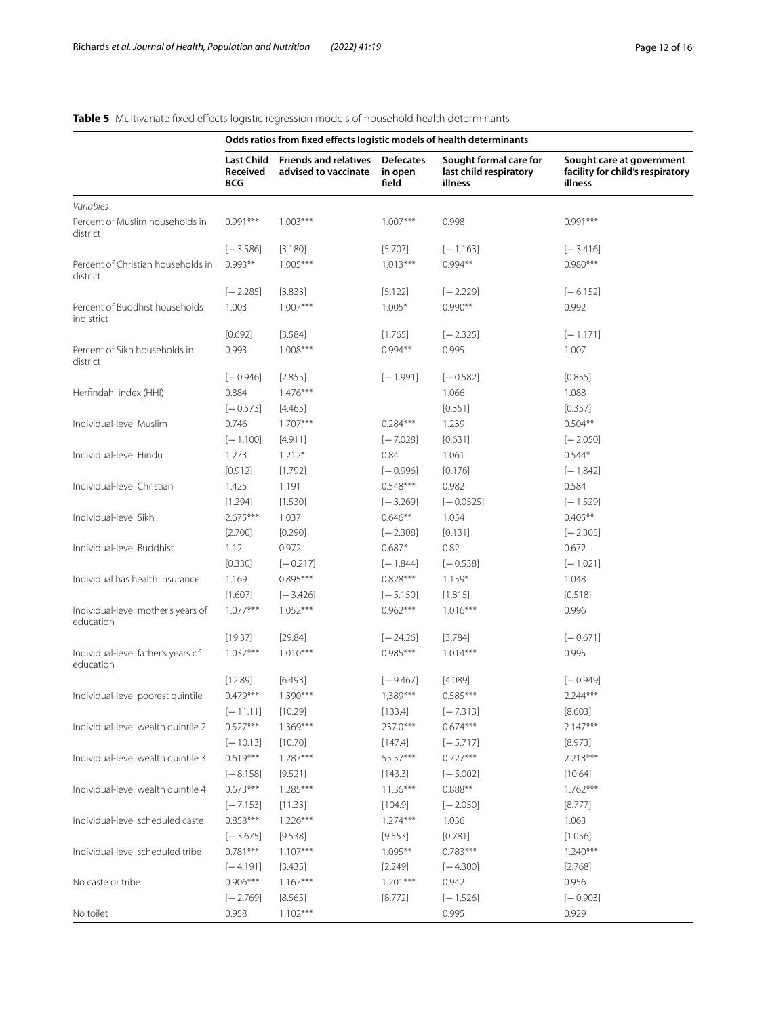#### **Odds ratios from fxed efects logistic models of health determinants Last Child Received BCG Friends and relatives advised to vaccinate Defecates in open feld Sought formal care for last child respiratory illness Sought care at government facility for child's respiratory illness** *Variables* Percent of Muslim households in district 0.991\*\*\* 1.003\*\*\* 1.007\*\*\* 1.007\*\*\* 0.998 0.991\*\*\* [−3.586] [3.180] [5.707] [−1.163] [−3.416] Percent of Christian households in district  $0.993***$  1.005\*\*\* 1.013\*\*\* 0.994\*\* 0.994\*\* 0.980\*\*\* [−2.285] [3.833] [5.122] [−2.229] [−6.152] Percent of Buddhist households indistrict 1.003 1.007\*\*\* 1.005\* 0.990\*\* 0.992 [0.692] [3.584] [1.765] [−2.325] [−1.171] Percent of Sikh households in district 0.993 1.008\*\*\* 0.994\*\* 0.995 1.007 [−0.946] [2.855] [−1.991] [−0.582] [0.855] Herfindahl index (HHI)  $0.884$   $1.476***$  1.066 1.088 1.088 [−0.573] [4.465] [0.351] [0.357] Individual-level Muslim 0.746 1.707\*\*\* 0.284\*\*\* 1.239 0.504\*\* [−1.100] [4.911] [−7.028] [0.631] [−2.050] Individual-level Hindu 1.273 1.212\* 0.84 1.061 0.544\* [0.912] [1.792] [−0.996] [0.176] [−1.842] Individual-level Christian 1.425 1.191 0.548\*\*\* 0.982 0.584 [1.294] [1.530] [−3.269] [−0.0525] [−1.529] Individual-level Sikh 2.675\*\*\* 1.037 0.646\*\* 1.054 0.405\*\* [2.700] [0.290] [−2.308] [0.131] [−2.305] Individual-level Buddhist 1.12 0.972 0.687\* 0.82 0.672  $[0.330]$   $[-0.217]$   $[-1.844]$   $[-0.538]$   $[-1.021]$ Individual has health insurance 1.169 0.895\*\*\* 0.828\*\*\* 1.159\* 1.048 [1.607] [−3.426] [−5.150] [1.815] [0.518] Individual-level mother's years of education 1.077\*\*\* 1.052\*\*\* 0.962\*\*\* 1.016\*\*\* 0.996 [19.37] [29.84] [−24.26] [3.784] [−0.671] Individual-level father's years of education 1.037\*\*\* 1.010\*\*\* 0.985\*\*\* 1.014\*\*\* 0.995 [12.89] [6.493] [−9.467] [4.089] [−0.949] Individual-level poorest quintile 0.479\*\*\* 1.390\*\*\* 1,389\*\*\* 0.585\*\*\* 2.244\*\*\* [−11.11] [10.29] [133.4] [−7.313] [8.603] Individual-level wealth quintile 2 0.527\*\*\* 1.369\*\*\* 237.0\*\*\* 0.674\*\*\* 2.147\*\*\* [−10.13] [10.70] [147.4] [−5.717] [8.973] Individual-level wealth quintile 3 0.619\*\*\* 1.287\*\*\* 55.57\*\*\* 6.727\*\*\* 6.727\*\*\* 2.213\*\*\* [−8.158] [9.521] [143.3] [−5.002] [10.64] Individual-level wealth quintile 4  $0.673***$   $1.285***$   $11.36***$   $0.888***$   $0.888***$   $1.762***$ [−7.153] [11.33] [104.9] [−2.050] [8.777] Individual-level scheduled caste  $0.858***$  1.226\*\*\* 1.274\*\*\* 1.036 1.063 [−3.675] [9.538] [9.553] [0.781] [1.056] Individual-level scheduled tribe  $0.781***$   $1.107***$  1.095<sup>\*\*</sup> 0.783<sup>\*\*\*</sup> 0.783<sup>\*\*\*</sup> 1.240<sup>\*\*\*</sup> [−4.191] [3.435] [2.249] [−4.300] [2.768] No caste or tribe  $0.906***$   $0.167***$  1.201<sup>\*\*\*</sup> 0.942 0.956 [−2.769] [8.565] [8.772] [−1.526] [−0.903] No toilet 0.958 1.102\*\*\* 0.995 0.929

# <span id="page-11-0"></span>**Table 5** Multivariate fixed effects logistic regression models of household health determinants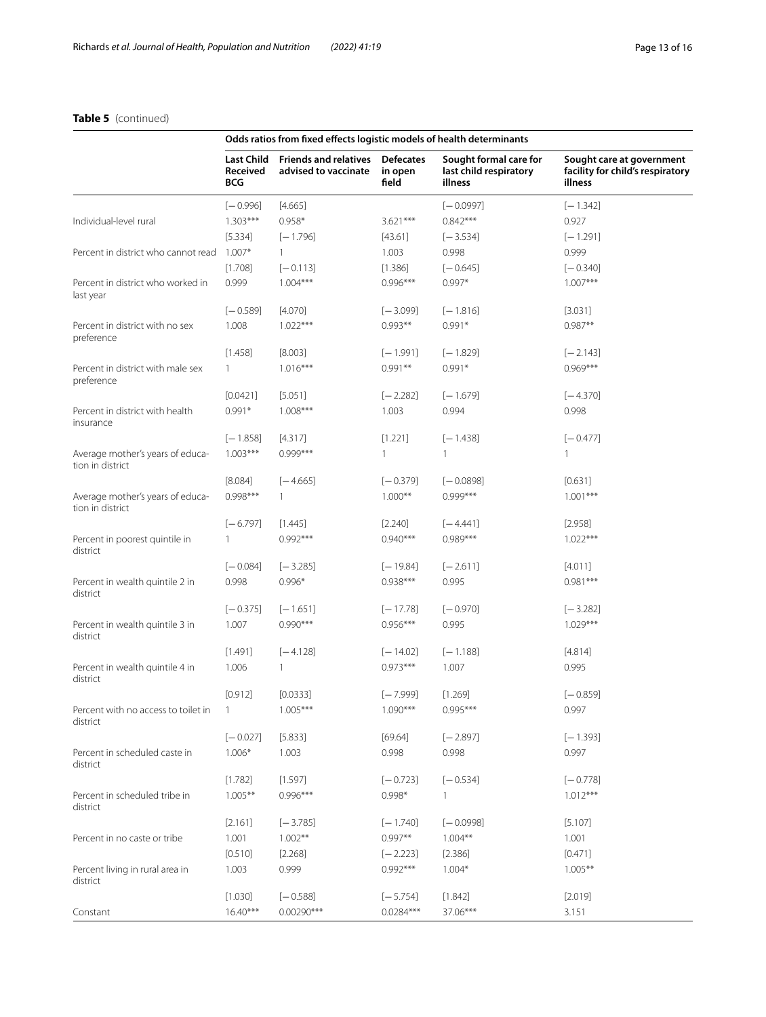# **Table 5** (continued)

|                                                      | Odds ratios from fixed effects logistic models of health determinants |                                                         |                  |                                                             |                                                                          |  |  |
|------------------------------------------------------|-----------------------------------------------------------------------|---------------------------------------------------------|------------------|-------------------------------------------------------------|--------------------------------------------------------------------------|--|--|
|                                                      | Last Child<br>Received<br><b>BCG</b>                                  | Friends and relatives Defecates<br>advised to vaccinate | in open<br>field | Sought formal care for<br>last child respiratory<br>illness | Sought care at government<br>facility for child's respiratory<br>illness |  |  |
|                                                      | $[-0.996]$                                                            | [4.665]                                                 |                  | $[-0.0997]$                                                 | $[-1.342]$                                                               |  |  |
| Individual-level rural                               | $1.303***$                                                            | $0.958*$                                                | $3.621***$       | $0.842***$                                                  | 0.927                                                                    |  |  |
|                                                      | [5.334]                                                               | $[-1.796]$                                              | [43.61]          | $[-3.534]$                                                  | $[-1.291]$                                                               |  |  |
| Percent in district who cannot read                  | $1.007*$                                                              | 1                                                       | 1.003            | 0.998                                                       | 0.999                                                                    |  |  |
|                                                      | [1.708]                                                               | $[-0.113]$                                              | [1.386]          | $[-0.645]$                                                  | $[-0.340]$                                                               |  |  |
| Percent in district who worked in<br>last year       | 0.999                                                                 | $1.004***$                                              | $0.996***$       | $0.997*$                                                    | $1.007***$                                                               |  |  |
|                                                      | $[-0.589]$                                                            | [4.070]                                                 | $[-3.099]$       | $[-1.816]$                                                  | [3.031]                                                                  |  |  |
| Percent in district with no sex<br>preference        | 1.008                                                                 | $1.022***$                                              | $0.993**$        | $0.991*$                                                    | $0.987**$                                                                |  |  |
|                                                      | [1.458]                                                               | [8.003]                                                 | $[-1.991]$       | $[-1.829]$                                                  | $[-2.143]$                                                               |  |  |
| Percent in district with male sex<br>preference      | $\mathbf{1}$                                                          | $1.016***$                                              | $0.991**$        | $0.991*$                                                    | $0.969***$                                                               |  |  |
|                                                      | [0.0421]                                                              | [5.051]                                                 | $[-2.282]$       | $[-1.679]$                                                  | $[-4.370]$                                                               |  |  |
| Percent in district with health<br>insurance         | $0.991*$                                                              | $1.008***$                                              | 1.003            | 0.994                                                       | 0.998                                                                    |  |  |
|                                                      | $[-1.858]$                                                            | [4.317]                                                 | [1.221]          | $[-1.438]$                                                  | $[-0.477]$                                                               |  |  |
| Average mother's years of educa-<br>tion in district | $1.003***$                                                            | $0.999***$                                              | 1                | $\mathbf{1}$                                                | 1                                                                        |  |  |
|                                                      | [8.084]                                                               | $[-4.665]$                                              | $[-0.379]$       | $[-0.0898]$                                                 | [0.631]                                                                  |  |  |
| Average mother's years of educa-<br>tion in district | $0.998***$                                                            | 1                                                       | $1.000**$        | $0.999***$                                                  | $1.001***$                                                               |  |  |
|                                                      | $[-6.797]$                                                            | [1.445]                                                 | $[2.240]$        | $[-4.441]$                                                  | [2.958]                                                                  |  |  |
| Percent in poorest quintile in<br>district           |                                                                       | $0.992***$                                              | $0.940***$       | $0.989***$                                                  | $1.022***$                                                               |  |  |
|                                                      | $[-0.084]$                                                            | $[-3.285]$                                              | $[-19.84]$       | $[-2.611]$                                                  | [4.011]                                                                  |  |  |
| Percent in wealth quintile 2 in<br>district          | 0.998                                                                 | $0.996*$                                                | $0.938***$       | 0.995                                                       | $0.981***$                                                               |  |  |
|                                                      | $[-0.375]$                                                            | $[-1.651]$                                              | $[-17.78]$       | $[-0.970]$                                                  | $[-3.282]$                                                               |  |  |
| Percent in wealth quintile 3 in<br>district          | 1.007                                                                 | $0.990***$                                              | $0.956***$       | 0.995                                                       | $1.029***$                                                               |  |  |
|                                                      | [1.491]                                                               | $[-4.128]$                                              | $[-14.02]$       | $[-1.188]$                                                  | [4.814]                                                                  |  |  |
| Percent in wealth quintile 4 in<br>district          | 1.006                                                                 | 1                                                       | $0.973***$       | 1.007                                                       | 0.995                                                                    |  |  |
|                                                      | [0.912]                                                               | [0.0333]                                                | $[-7.999]$       | [1.269]                                                     | $[-0.859]$                                                               |  |  |
| Percent with no access to toilet in<br>district      | $\overline{1}$                                                        | $1.005***$                                              | $1.090***$       | 0.995***                                                    | 0.997                                                                    |  |  |
|                                                      | $[-0.027]$                                                            | [5.833]                                                 | [69.64]          | $[-2.897]$                                                  | $[-1.393]$                                                               |  |  |
| Percent in scheduled caste in<br>district            | $1.006*$                                                              | 1.003                                                   | 0.998            | 0.998                                                       | 0.997                                                                    |  |  |
|                                                      | [1.782]                                                               | [1.597]                                                 | $[-0.723]$       | $[-0.534]$                                                  | $[-0.778]$                                                               |  |  |
| Percent in scheduled tribe in<br>district            | $1.005***$                                                            | $0.996***$                                              | $0.998*$         | $\mathbf{1}$                                                | $1.012***$                                                               |  |  |
|                                                      | [2.161]                                                               | $[-3.785]$                                              | $[-1.740]$       | $[-0.0998]$                                                 | [5.107]                                                                  |  |  |
| Percent in no caste or tribe                         | 1.001                                                                 | $1.002**$                                               | $0.997**$        | $1.004**$                                                   | 1.001                                                                    |  |  |
|                                                      | [0.510]                                                               | [2.268]                                                 | $[-2.223]$       | [2.386]                                                     | [0.471]                                                                  |  |  |
| Percent living in rural area in<br>district          | 1.003                                                                 | 0.999                                                   | $0.992***$       | $1.004*$                                                    | $1.005***$                                                               |  |  |
|                                                      | [1.030]                                                               | $[-0.588]$                                              | $[-5.754]$       | [1.842]                                                     | [2.019]                                                                  |  |  |
| Constant                                             | $16.40***$                                                            | $0.00290***$                                            | 0.0284***        | 37.06***                                                    | 3.151                                                                    |  |  |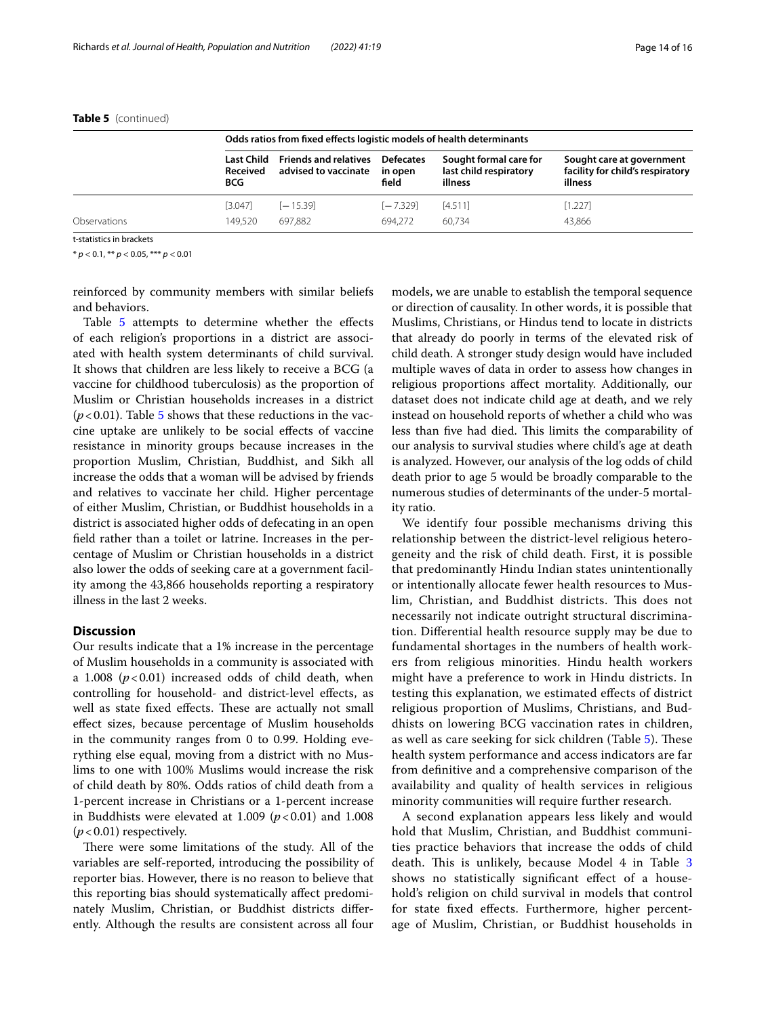|              |                                              | Odds ratios from fixed effects logistic models of health determinants |                                      |                                                             |                                                                          |  |  |  |
|--------------|----------------------------------------------|-----------------------------------------------------------------------|--------------------------------------|-------------------------------------------------------------|--------------------------------------------------------------------------|--|--|--|
|              | <b>Last Child</b><br><b>Received</b><br>BCG. | <b>Friends and relatives</b><br>advised to vaccinate                  | <b>Defecates</b><br>in open<br>field | Sought formal care for<br>last child respiratory<br>illness | Sought care at government<br>facility for child's respiratory<br>illness |  |  |  |
|              | [3.047]                                      | $[-15.39]$                                                            | $[-7.329]$                           | [4.511]                                                     | [1.227]                                                                  |  |  |  |
| Observations | 149.520                                      | 697.882                                                               | 694.272                              | 60.734                                                      | 43.866                                                                   |  |  |  |

#### **Table 5** (continued)

t-statistics in brackets

\* *p* < 0.1, \*\* *p* < 0.05, \*\*\* *p* < 0.01

reinforced by community members with similar beliefs and behaviors.

Table [5](#page-11-0) attempts to determine whether the effects of each religion's proportions in a district are associated with health system determinants of child survival. It shows that children are less likely to receive a BCG (a vaccine for childhood tuberculosis) as the proportion of Muslim or Christian households increases in a district  $(p<0.01)$ . Table [5](#page-11-0) shows that these reductions in the vaccine uptake are unlikely to be social efects of vaccine resistance in minority groups because increases in the proportion Muslim, Christian, Buddhist, and Sikh all increase the odds that a woman will be advised by friends and relatives to vaccinate her child. Higher percentage of either Muslim, Christian, or Buddhist households in a district is associated higher odds of defecating in an open feld rather than a toilet or latrine. Increases in the percentage of Muslim or Christian households in a district also lower the odds of seeking care at a government facility among the 43,866 households reporting a respiratory illness in the last 2 weeks.

#### **Discussion**

Our results indicate that a 1% increase in the percentage of Muslim households in a community is associated with a 1.008  $(p<0.01)$  increased odds of child death, when controlling for household- and district-level efects, as well as state fixed effects. These are actually not small efect sizes, because percentage of Muslim households in the community ranges from 0 to 0.99. Holding everything else equal, moving from a district with no Muslims to one with 100% Muslims would increase the risk of child death by 80%. Odds ratios of child death from a 1-percent increase in Christians or a 1-percent increase in Buddhists were elevated at  $1.009$  ( $p < 0.01$ ) and  $1.008$  $(p<0.01)$  respectively.

There were some limitations of the study. All of the variables are self-reported, introducing the possibility of reporter bias. However, there is no reason to believe that this reporting bias should systematically afect predominately Muslim, Christian, or Buddhist districts diferently. Although the results are consistent across all four models, we are unable to establish the temporal sequence or direction of causality. In other words, it is possible that Muslims, Christians, or Hindus tend to locate in districts that already do poorly in terms of the elevated risk of child death. A stronger study design would have included multiple waves of data in order to assess how changes in religious proportions afect mortality. Additionally, our dataset does not indicate child age at death, and we rely instead on household reports of whether a child who was less than five had died. This limits the comparability of our analysis to survival studies where child's age at death is analyzed. However, our analysis of the log odds of child death prior to age 5 would be broadly comparable to the numerous studies of determinants of the under-5 mortality ratio.

We identify four possible mechanisms driving this relationship between the district-level religious heterogeneity and the risk of child death. First, it is possible that predominantly Hindu Indian states unintentionally or intentionally allocate fewer health resources to Muslim, Christian, and Buddhist districts. This does not necessarily not indicate outright structural discrimination. Diferential health resource supply may be due to fundamental shortages in the numbers of health workers from religious minorities. Hindu health workers might have a preference to work in Hindu districts. In testing this explanation, we estimated efects of district religious proportion of Muslims, Christians, and Buddhists on lowering BCG vaccination rates in children, as well as care seeking for sick children (Table [5](#page-11-0)). These health system performance and access indicators are far from defnitive and a comprehensive comparison of the availability and quality of health services in religious minority communities will require further research.

A second explanation appears less likely and would hold that Muslim, Christian, and Buddhist communities practice behaviors that increase the odds of child death. This is unlikely, because Model 4 in Table [3](#page-7-0) shows no statistically significant effect of a household's religion on child survival in models that control for state fxed efects. Furthermore, higher percentage of Muslim, Christian, or Buddhist households in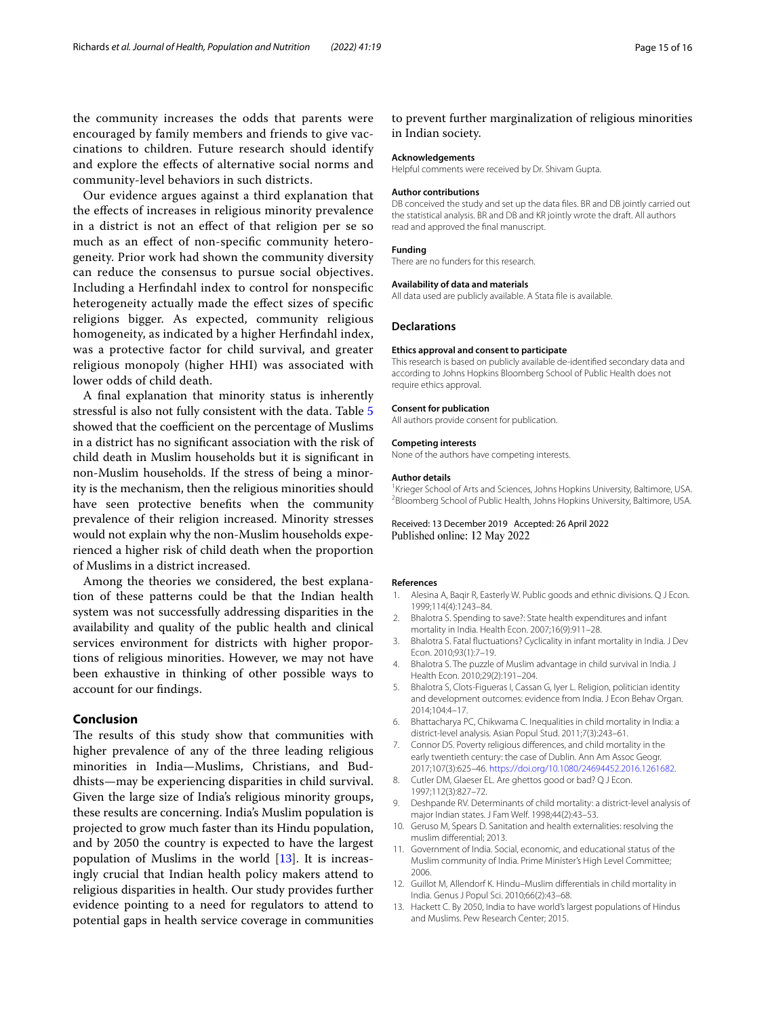the community increases the odds that parents were encouraged by family members and friends to give vaccinations to children. Future research should identify and explore the efects of alternative social norms and community-level behaviors in such districts.

Our evidence argues against a third explanation that the efects of increases in religious minority prevalence in a district is not an efect of that religion per se so much as an efect of non-specifc community heterogeneity. Prior work had shown the community diversity can reduce the consensus to pursue social objectives. Including a Herfndahl index to control for nonspecifc heterogeneity actually made the efect sizes of specifc religions bigger. As expected, community religious homogeneity, as indicated by a higher Herfndahl index, was a protective factor for child survival, and greater religious monopoly (higher HHI) was associated with lower odds of child death.

A fnal explanation that minority status is inherently stressful is also not fully consistent with the data. Table [5](#page-11-0) showed that the coefficient on the percentage of Muslims in a district has no signifcant association with the risk of child death in Muslim households but it is signifcant in non-Muslim households. If the stress of being a minority is the mechanism, then the religious minorities should have seen protective benefts when the community prevalence of their religion increased. Minority stresses would not explain why the non-Muslim households experienced a higher risk of child death when the proportion of Muslims in a district increased.

Among the theories we considered, the best explanation of these patterns could be that the Indian health system was not successfully addressing disparities in the availability and quality of the public health and clinical services environment for districts with higher proportions of religious minorities. However, we may not have been exhaustive in thinking of other possible ways to account for our fndings.

## **Conclusion**

The results of this study show that communities with higher prevalence of any of the three leading religious minorities in India—Muslims, Christians, and Buddhists—may be experiencing disparities in child survival. Given the large size of India's religious minority groups, these results are concerning. India's Muslim population is projected to grow much faster than its Hindu population, and by 2050 the country is expected to have the largest population of Muslims in the world [\[13](#page-14-12)]. It is increasingly crucial that Indian health policy makers attend to religious disparities in health. Our study provides further evidence pointing to a need for regulators to attend to potential gaps in health service coverage in communities

to prevent further marginalization of religious minorities in Indian society.

#### **Acknowledgements**

Helpful comments were received by Dr. Shivam Gupta.

#### **Author contributions**

DB conceived the study and set up the data fles. BR and DB jointly carried out the statistical analysis. BR and DB and KR jointly wrote the draft. All authors read and approved the fnal manuscript.

#### **Funding**

There are no funders for this research.

#### **Availability of data and materials**

All data used are publicly available. A Stata fle is available.

#### **Declarations**

#### **Ethics approval and consent to participate**

This research is based on publicly available de-identifed secondary data and according to Johns Hopkins Bloomberg School of Public Health does not require ethics approval.

#### **Consent for publication**

All authors provide consent for publication.

#### **Competing interests**

None of the authors have competing interests.

#### **Author details**

<sup>1</sup> Krieger School of Arts and Sciences, Johns Hopkins University, Baltimore, USA.<br><sup>2</sup> Bloomberg School of Public Health, Johns Hopkins University, Baltimore, USA. <sup>2</sup>Bloomberg School of Public Health, Johns Hopkins University, Baltimore, USA.

#### Received: 13 December 2019 Accepted: 26 April 2022 Published online: 12 May 2022

#### **References**

- <span id="page-14-9"></span>1. Alesina A, Baqir R, Easterly W. Public goods and ethnic divisions. Q J Econ. 1999;114(4):1243–84.
- <span id="page-14-7"></span>2. Bhalotra S. Spending to save?: State health expenditures and infant mortality in India. Health Econ. 2007;16(9):911–28.
- <span id="page-14-0"></span>3. Bhalotra S. Fatal fuctuations? Cyclicality in infant mortality in India. J Dev Econ. 2010;93(1):7–19.
- <span id="page-14-1"></span>4. Bhalotra S. The puzzle of Muslim advantage in child survival in India. J Health Econ. 2010;29(2):191–204.
- <span id="page-14-5"></span>5. Bhalotra S, Clots-Figueras I, Cassan G, Iyer L. Religion, politician identity and development outcomes: evidence from India. J Econ Behav Organ. 2014;104:4–17.
- <span id="page-14-8"></span>6. Bhattacharya PC, Chikwama C. Inequalities in child mortality in India: a district-level analysis. Asian Popul Stud. 2011;7(3):243–61.
- <span id="page-14-11"></span>7. Connor DS. Poverty religious diferences, and child mortality in the early twentieth century: the case of Dublin. Ann Am Assoc Geogr. 2017;107(3):625–46. [https://doi.org/10.1080/24694452.2016.1261682.](https://doi.org/10.1080/24694452.2016.1261682)
- <span id="page-14-10"></span>8. Cutler DM, Glaeser EL. Are ghettos good or bad? Q J Econ. 1997;112(3):827–72.
- <span id="page-14-6"></span>9. Deshpande RV. Determinants of child mortality: a district-level analysis of major Indian states. J Fam Welf. 1998;44(2):43–53.
- <span id="page-14-3"></span>10. Geruso M, Spears D. Sanitation and health externalities: resolving the muslim diferential; 2013.
- <span id="page-14-2"></span>11. Government of India. Social, economic, and educational status of the Muslim community of India. Prime Minister's High Level Committee; 2006.
- <span id="page-14-4"></span>12. Guillot M, Allendorf K. Hindu–Muslim diferentials in child mortality in India. Genus J Popul Sci. 2010;66(2):43–68.
- <span id="page-14-12"></span>13. Hackett C. By 2050, India to have world's largest populations of Hindus and Muslims. Pew Research Center; 2015.